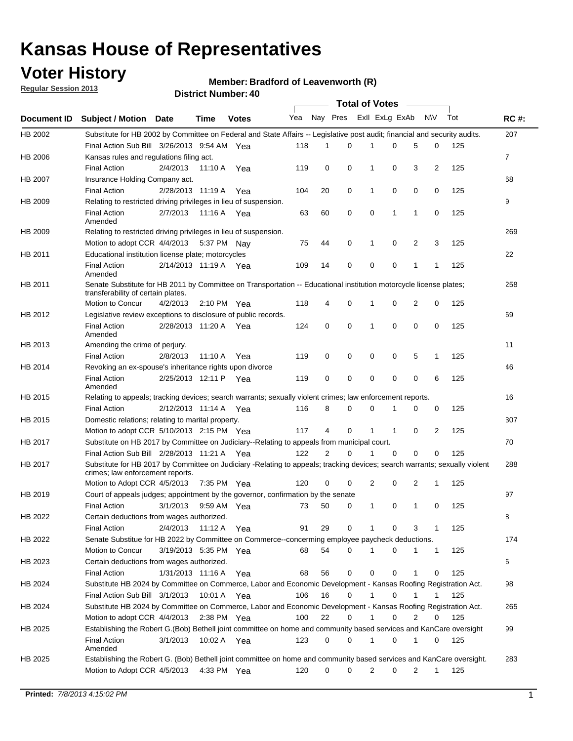## **Voter History**

**Member: Bradford of Leavenworth (R)** 

**Regular Session 2013**

|                    |                                                                                                                                                                |                       | <b>DISTICL MUTTINGL. 40</b> |              |     |          |          | Total of Votes – |              |                |              |     |                |
|--------------------|----------------------------------------------------------------------------------------------------------------------------------------------------------------|-----------------------|-----------------------------|--------------|-----|----------|----------|------------------|--------------|----------------|--------------|-----|----------------|
| <b>Document ID</b> | <b>Subject / Motion Date</b>                                                                                                                                   |                       | Time                        | <b>Votes</b> | Yea | Nay Pres |          | Exll ExLg ExAb   |              |                | <b>NV</b>    | Tot | <b>RC#:</b>    |
| HB 2002            | Substitute for HB 2002 by Committee on Federal and State Affairs -- Legislative post audit; financial and security audits.                                     |                       |                             |              |     |          |          |                  |              |                |              |     | 207            |
|                    | Final Action Sub Bill 3/26/2013 9:54 AM Yea                                                                                                                    |                       |                             |              | 118 | 1        | $\Omega$ |                  | 0            | 5              | 0            | 125 |                |
| HB 2006            | Kansas rules and regulations filing act.                                                                                                                       |                       |                             |              |     |          |          |                  |              |                |              |     | $\overline{7}$ |
|                    | <b>Final Action</b>                                                                                                                                            | 2/4/2013              | 11:10 A                     | Yea          | 119 | 0        | 0        | $\mathbf 1$      | 0            | 3              | 2            | 125 |                |
| <b>HB 2007</b>     | Insurance Holding Company act.                                                                                                                                 |                       |                             |              |     |          |          |                  |              |                |              |     | 68             |
|                    | <b>Final Action</b>                                                                                                                                            | 2/28/2013 11:19 A     |                             | Yea          | 104 | 20       | 0        | 1                | 0            | 0              | 0            | 125 |                |
| HB 2009            | Relating to restricted driving privileges in lieu of suspension.                                                                                               |                       |                             |              |     |          |          |                  |              |                |              |     | 9              |
|                    | <b>Final Action</b><br>Amended                                                                                                                                 | 2/7/2013              | 11:16 A Yea                 |              | 63  | 60       | 0        | $\mathbf 0$      | 1            | 1              | 0            | 125 |                |
| HB 2009            | Relating to restricted driving privileges in lieu of suspension.                                                                                               |                       |                             |              |     |          |          |                  |              |                |              |     | 269            |
|                    | Motion to adopt CCR 4/4/2013                                                                                                                                   |                       | 5:37 PM                     | Nav          | 75  | 44       | 0        | 1                | 0            | 2              | 3            | 125 |                |
| HB 2011            | Educational institution license plate; motorcycles                                                                                                             |                       |                             |              |     |          |          |                  |              |                |              |     | 22             |
|                    | <b>Final Action</b><br>Amended                                                                                                                                 | 2/14/2013 11:19 A     |                             | Yea          | 109 | 14       | 0        | 0                | 0            | 1              | 1            | 125 |                |
| HB 2011            | Senate Substitute for HB 2011 by Committee on Transportation -- Educational institution motorcycle license plates;<br>transferability of certain plates.       |                       |                             |              |     |          |          |                  |              |                |              |     | 258            |
|                    | Motion to Concur                                                                                                                                               | 4/2/2013              | $2:10 \text{ PM}$ Yea       |              | 118 | 4        | 0        | 1                | 0            | $\overline{2}$ | 0            | 125 |                |
| HB 2012            | Legislative review exceptions to disclosure of public records.                                                                                                 |                       |                             |              |     |          |          |                  |              |                |              |     | 69             |
|                    | <b>Final Action</b><br>Amended                                                                                                                                 | 2/28/2013 11:20 A Yea |                             |              | 124 | 0        | 0        | 1                | 0            | 0              | 0            | 125 |                |
| HB 2013            | Amending the crime of perjury.                                                                                                                                 |                       |                             |              |     |          |          |                  |              |                |              |     | 11             |
|                    | <b>Final Action</b>                                                                                                                                            | 2/8/2013              | 11:10 A                     | Yea          | 119 | 0        | 0        | 0                | 0            | 5              | $\mathbf{1}$ | 125 |                |
| HB 2014            | Revoking an ex-spouse's inheritance rights upon divorce                                                                                                        |                       |                             |              |     |          |          |                  |              |                |              |     | 46             |
|                    | <b>Final Action</b><br>Amended                                                                                                                                 | 2/25/2013 12:11 P     |                             | Yea          | 119 | 0        | 0        | 0                | 0            | 0              | 6            | 125 |                |
| HB 2015            | Relating to appeals; tracking devices; search warrants; sexually violent crimes; law enforcement reports.                                                      |                       |                             |              |     |          |          |                  |              |                |              |     | 16             |
|                    | <b>Final Action</b>                                                                                                                                            | 2/12/2013 11:14 A     |                             | Yea          | 116 | 8        | 0        | 0                | 1            | 0              | 0            | 125 |                |
| HB 2015            | Domestic relations; relating to marital property.                                                                                                              |                       |                             |              |     |          |          |                  |              |                |              |     | 307            |
|                    | Motion to adopt CCR 5/10/2013 2:15 PM Yea                                                                                                                      |                       |                             |              | 117 | 4        | 0        | 1                | $\mathbf{1}$ | 0              | 2            | 125 |                |
| HB 2017            | Substitute on HB 2017 by Committee on Judiciary--Relating to appeals from municipal court.                                                                     |                       |                             |              |     |          |          |                  |              |                |              |     | 70             |
|                    | Final Action Sub Bill 2/28/2013 11:21 A Yea                                                                                                                    |                       |                             |              | 122 | 2        | 0        | 1                | 0            | $\Omega$       | 0            | 125 |                |
| HB 2017            | Substitute for HB 2017 by Committee on Judiciary -Relating to appeals; tracking devices; search warrants; sexually violent<br>crimes; law enforcement reports. |                       |                             |              |     |          |          |                  |              |                |              |     | 288            |
|                    | Motion to Adopt CCR 4/5/2013                                                                                                                                   |                       | 7:35 PM Yea                 |              | 120 | 0        | 0        | 2                | 0            | 2              | 1            | 125 |                |
| HB 2019            | Court of appeals judges; appointment by the governor, confirmation by the senate                                                                               |                       |                             |              |     |          |          |                  |              |                |              |     | 97             |
|                    | <b>Final Action</b>                                                                                                                                            | 3/1/2013              | 9:59 AM Yea                 |              | 73  | 50       | 0        | 1                | 0            | 1              | 0            | 125 |                |
| HB 2022            | Certain deductions from wages authorized.                                                                                                                      |                       |                             |              |     |          |          |                  |              |                |              |     | 8              |
|                    | <b>Final Action</b>                                                                                                                                            | 2/4/2013              | 11:12 A                     | Yea          | 91  | 29       | 0        |                  | 0            | 3              | 1            | 125 |                |
| HB 2022            | Senate Substitue for HB 2022 by Committee on Commerce--concerming employee paycheck deductions.                                                                |                       |                             |              |     |          |          |                  |              |                |              |     | 174            |
|                    | Motion to Concur                                                                                                                                               | 3/19/2013 5:35 PM Yea |                             |              | 68  | 54       | 0        | 1                | 0            | 1              | $\mathbf{1}$ | 125 |                |
| HB 2023            | Certain deductions from wages authorized.                                                                                                                      |                       |                             |              |     |          |          |                  |              |                |              |     | 6              |
|                    | <b>Final Action</b>                                                                                                                                            | 1/31/2013 11:16 A     |                             | Yea          | 68  | 56       | 0        | 0                | 0            | 1              | 0            | 125 |                |
| HB 2024            | Substitute HB 2024 by Committee on Commerce, Labor and Economic Development - Kansas Roofing Registration Act.                                                 |                       |                             |              |     |          |          |                  |              |                |              |     | 98             |
|                    | Final Action Sub Bill 3/1/2013                                                                                                                                 |                       | 10:01 A                     | Yea          | 106 | 16       | 0        | 1                | 0            | 1              | 1            | 125 |                |
| HB 2024            | Substitute HB 2024 by Committee on Commerce, Labor and Economic Development - Kansas Roofing Registration Act.                                                 |                       |                             |              |     |          |          |                  |              |                |              |     | 265            |
|                    | Motion to adopt CCR 4/4/2013                                                                                                                                   |                       | $2:38$ PM Yea               |              | 100 | 22       | 0        | 1                | 0            | 2              | 0            | 125 |                |
| HB 2025            | Establishing the Robert G. (Bob) Bethell joint committee on home and community based services and KanCare oversight                                            |                       |                             |              |     |          |          |                  |              |                |              |     | 99             |
|                    | <b>Final Action</b><br>Amended                                                                                                                                 | 3/1/2013              | 10:02 A Yea                 |              | 123 | 0        | 0        | 1                | 0            | 1              | 0            | 125 |                |
| HB 2025            | Establishing the Robert G. (Bob) Bethell joint committee on home and community based services and KanCare oversight.<br>Motion to Adopt CCR 4/5/2013           |                       | 4:33 PM Yea                 |              | 120 | 0        | 0        | 2                | 0            | 2              | $\mathbf{1}$ | 125 | 283            |
|                    |                                                                                                                                                                |                       |                             |              |     |          |          |                  |              |                |              |     |                |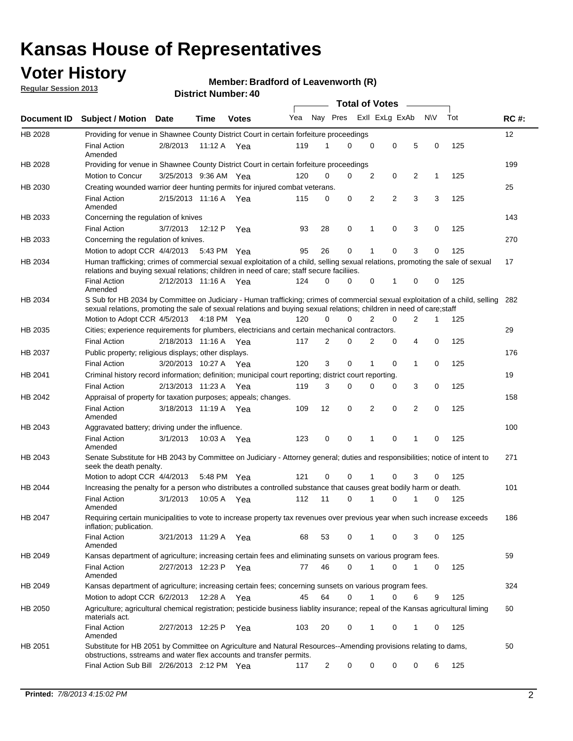## **Voter History**

**Regular Session 2013**

### **Member: Bradford of Leavenworth (R)**

|                    |                                                                                                                                                                                                                                                        |                       | י וסטווושרו ועוווסוש |              |     |                | <b>Total of Votes</b> |                |                |   |              |     |     |
|--------------------|--------------------------------------------------------------------------------------------------------------------------------------------------------------------------------------------------------------------------------------------------------|-----------------------|----------------------|--------------|-----|----------------|-----------------------|----------------|----------------|---|--------------|-----|-----|
| <b>Document ID</b> | <b>Subject / Motion Date</b>                                                                                                                                                                                                                           |                       | Time                 | <b>Votes</b> | Yea | Nay Pres       |                       |                | Exll ExLg ExAb |   | <b>NV</b>    | Tot | RC# |
| HB 2028            | Providing for venue in Shawnee County District Court in certain forfeiture proceedings                                                                                                                                                                 |                       |                      |              |     |                |                       |                |                |   |              |     | 12  |
|                    | <b>Final Action</b><br>Amended                                                                                                                                                                                                                         | 2/8/2013              | 11:12 A Yea          |              | 119 | 1              | 0                     | $\mathbf 0$    | $\mathbf 0$    | 5 | 0            | 125 |     |
| HB 2028            | Providing for venue in Shawnee County District Court in certain forfeiture proceedings                                                                                                                                                                 |                       |                      |              |     |                |                       |                |                |   |              |     | 199 |
|                    | Motion to Concur                                                                                                                                                                                                                                       | 3/25/2013 9:36 AM Yea |                      |              | 120 | 0              | 0                     | 2              | 0              | 2 | $\mathbf{1}$ | 125 |     |
| HB 2030            | Creating wounded warrior deer hunting permits for injured combat veterans.                                                                                                                                                                             |                       |                      |              |     |                |                       |                |                |   |              |     | 25  |
|                    | <b>Final Action</b><br>Amended                                                                                                                                                                                                                         | 2/15/2013 11:16 A     |                      | Yea          | 115 | 0              | 0                     | 2              | $\overline{2}$ | 3 | 3            | 125 |     |
| HB 2033            | Concerning the regulation of knives                                                                                                                                                                                                                    |                       |                      |              |     |                |                       |                |                |   |              |     | 143 |
|                    | <b>Final Action</b>                                                                                                                                                                                                                                    | 3/7/2013              | 12:12 P              | Yea          | 93  | 28             | 0                     | 1              | $\mathbf 0$    | 3 | 0            | 125 |     |
| HB 2033            | Concerning the regulation of knives.                                                                                                                                                                                                                   |                       |                      |              |     |                |                       |                |                |   |              |     | 270 |
|                    | Motion to adopt CCR 4/4/2013 5:43 PM Yea                                                                                                                                                                                                               |                       |                      |              | 95  | 26             | 0                     | 1              | 0              | 3 | 0            | 125 |     |
| HB 2034            | Human trafficking; crimes of commercial sexual exploitation of a child, selling sexual relations, promoting the sale of sexual<br>relations and buying sexual relations; children in need of care; staff secure faciliies.                             |                       |                      |              |     |                |                       |                |                |   |              |     | 17  |
|                    | <b>Final Action</b><br>Amended                                                                                                                                                                                                                         | 2/12/2013 11:16 A Yea |                      |              | 124 | 0              | 0                     | 0              | 1              | 0 | 0            | 125 |     |
| HB 2034            | S Sub for HB 2034 by Committee on Judiciary - Human trafficking; crimes of commercial sexual exploitation of a child, selling<br>sexual relations, promoting the sale of sexual relations and buying sexual relations; children in need of care; staff |                       |                      |              |     |                |                       |                |                |   |              |     | 282 |
|                    | Motion to Adopt CCR 4/5/2013 4:18 PM Yea                                                                                                                                                                                                               |                       |                      |              | 120 | 0              | 0                     | $\overline{2}$ | 0              | 2 | 1            | 125 |     |
| HB 2035            | Cities; experience requirements for plumbers, electricians and certain mechanical contractors.                                                                                                                                                         |                       |                      |              |     |                |                       |                |                |   |              |     | 29  |
|                    | <b>Final Action</b>                                                                                                                                                                                                                                    | 2/18/2013 11:16 A     |                      | Yea          | 117 | 2              | 0                     | 2              | 0              | 4 | 0            | 125 |     |
| HB 2037            | Public property; religious displays; other displays.                                                                                                                                                                                                   |                       |                      |              |     |                |                       |                |                |   |              |     | 176 |
|                    | <b>Final Action</b>                                                                                                                                                                                                                                    | 3/20/2013 10:27 A     |                      | Yea          | 120 | 3              | 0                     | 1              | 0              | 1 | 0            | 125 |     |
| HB 2041            | Criminal history record information; definition; municipal court reporting; district court reporting.                                                                                                                                                  |                       |                      |              |     |                |                       |                |                |   |              |     | 19  |
|                    | <b>Final Action</b>                                                                                                                                                                                                                                    | 2/13/2013 11:23 A     |                      | Yea          | 119 | 3              | 0                     | 0              | 0              | 3 | 0            | 125 |     |
| HB 2042            | Appraisal of property for taxation purposes; appeals; changes.                                                                                                                                                                                         |                       |                      |              |     |                |                       |                |                |   |              |     | 158 |
|                    | <b>Final Action</b><br>Amended                                                                                                                                                                                                                         | 3/18/2013 11:19 A     |                      | Yea          | 109 | 12             | 0                     | $\overline{2}$ | 0              | 2 | 0            | 125 |     |
| HB 2043            | Aggravated battery; driving under the influence.                                                                                                                                                                                                       |                       |                      |              |     |                |                       |                |                |   |              |     | 100 |
|                    | <b>Final Action</b><br>Amended                                                                                                                                                                                                                         | 3/1/2013              | 10:03 A Yea          |              | 123 | 0              | 0                     | 1              | 0              | 1 | 0            | 125 |     |
| HB 2043            | Senate Substitute for HB 2043 by Committee on Judiciary - Attorney general; duties and responsibilities; notice of intent to<br>seek the death penalty.                                                                                                |                       |                      |              |     |                |                       |                |                |   |              |     | 271 |
|                    | Motion to adopt CCR 4/4/2013                                                                                                                                                                                                                           |                       | 5:48 PM              | Yea          | 121 | 0              | 0                     |                | 0              | 3 | 0            | 125 |     |
| HB 2044            | Increasing the penalty for a person who distributes a controlled substance that causes great bodily harm or death.                                                                                                                                     |                       |                      |              |     |                |                       |                |                |   |              |     | 101 |
|                    | <b>Final Action</b><br>Amended                                                                                                                                                                                                                         | 3/1/2013              | 10:05 A              | Yea          | 112 | 11             | $\Omega$              |                | $\Omega$       |   | 0            | 125 |     |
| HB 2047            | Requiring certain municipalities to vote to increase property tax revenues over previous year when such increase exceeds<br>inflation; publication.                                                                                                    |                       |                      |              |     |                |                       |                |                |   |              |     | 186 |
|                    | Final Action<br>Amended                                                                                                                                                                                                                                | 3/21/2013 11:29 A Yea |                      |              | 68  | 53             | 0                     | 1              | 0              | 3 | 0            | 125 |     |
| HB 2049            | Kansas department of agriculture; increasing certain fees and eliminating sunsets on various program fees.                                                                                                                                             |                       |                      |              |     |                |                       |                |                |   |              |     | 59  |
|                    | <b>Final Action</b><br>Amended                                                                                                                                                                                                                         | 2/27/2013 12:23 P Yea |                      |              | 77  | 46             | 0                     | 1              | 0              | 1 | 0            | 125 |     |
| HB 2049            | Kansas department of agriculture; increasing certain fees; concerning sunsets on various program fees.                                                                                                                                                 |                       |                      |              |     |                |                       |                |                |   |              |     | 324 |
|                    | Motion to adopt CCR 6/2/2013                                                                                                                                                                                                                           |                       | 12:28 A              | Yea          | 45  | 64             | 0                     | 1              | 0              | 6 | 9            | 125 |     |
| HB 2050            | Agriculture; agricultural chemical registration; pesticide business liablity insurance; repeal of the Kansas agricultural liming<br>materials act.                                                                                                     |                       |                      |              |     |                |                       |                |                |   |              |     | 60  |
|                    | <b>Final Action</b><br>Amended                                                                                                                                                                                                                         | 2/27/2013 12:25 P     |                      | Yea          | 103 | 20             | 0                     | 1              | 0              | 1 | 0            | 125 |     |
| HB 2051            | Substitute for HB 2051 by Committee on Agriculture and Natural Resources--Amending provisions relating to dams,<br>obstructions, sstreams and water flex accounts and transfer permits.                                                                |                       |                      |              |     |                |                       |                |                |   |              |     | 50  |
|                    | Final Action Sub Bill 2/26/2013 2:12 PM Yea                                                                                                                                                                                                            |                       |                      |              | 117 | $\overline{c}$ | 0                     | 0              | 0              | 0 | 6            | 125 |     |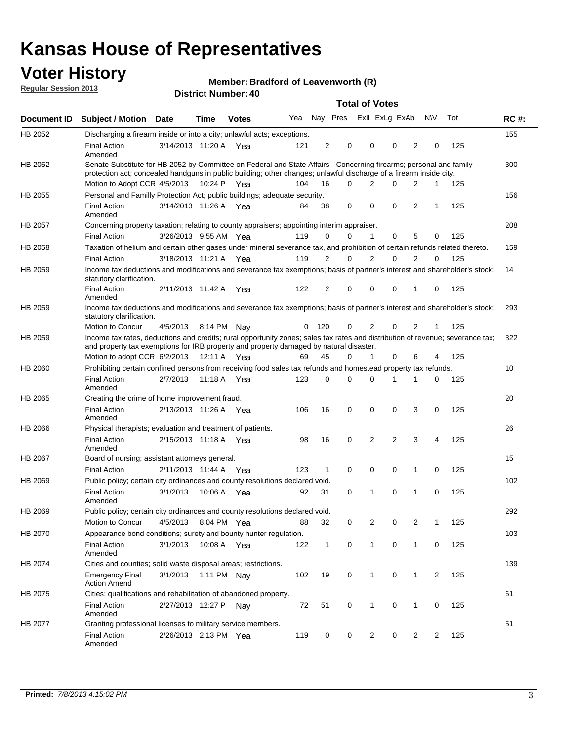## **Voter History**

**Member: Bradford of Leavenworth (R)** 

**Regular Session 2013**

|                |                                                                                                                                                                                                                                          |                       |             | טד . וסעווואזו וטווע |     |                |                             | <b>Total of Votes</b> | $\sim$   |                |           |     |             |
|----------------|------------------------------------------------------------------------------------------------------------------------------------------------------------------------------------------------------------------------------------------|-----------------------|-------------|----------------------|-----|----------------|-----------------------------|-----------------------|----------|----------------|-----------|-----|-------------|
| Document ID    | <b>Subject / Motion</b>                                                                                                                                                                                                                  | Date                  | <b>Time</b> | <b>Votes</b>         |     |                | Yea Nay Pres ExII ExLg ExAb |                       |          |                | <b>NV</b> | Tot | <b>RC#:</b> |
| HB 2052        | Discharging a firearm inside or into a city; unlawful acts; exceptions.                                                                                                                                                                  |                       |             |                      |     |                |                             |                       |          |                |           |     | 155         |
|                | <b>Final Action</b><br>Amended                                                                                                                                                                                                           | 3/14/2013 11:20 A Yea |             |                      | 121 | 2              | 0                           | 0                     | $\Omega$ | $\overline{2}$ | 0         | 125 |             |
| HB 2052        | Senate Substitute for HB 2052 by Committee on Federal and State Affairs - Concerning firearms; personal and family<br>protection act; concealed handguns in public building; other changes; unlawful discharge of a firearm inside city. |                       |             |                      |     |                |                             |                       |          |                |           |     | 300         |
|                | Motion to Adopt CCR 4/5/2013 10:24 P Yea                                                                                                                                                                                                 |                       |             |                      | 104 | 16             | 0                           | 2                     | $\Omega$ | 2              | 1         | 125 |             |
| <b>HB 2055</b> | Personal and Familly Protection Act; public buildings; adequate security.                                                                                                                                                                |                       |             |                      |     |                |                             |                       |          |                |           |     | 156         |
|                | <b>Final Action</b><br>Amended                                                                                                                                                                                                           | 3/14/2013 11:26 A     |             | Yea                  | 84  | 38             | 0                           | 0                     | 0        | $\overline{2}$ | 1         | 125 |             |
| HB 2057        | Concerning property taxation; relating to county appraisers; appointing interim appraiser.                                                                                                                                               |                       |             |                      |     |                |                             |                       |          |                |           |     | 208         |
|                | <b>Final Action</b>                                                                                                                                                                                                                      | 3/26/2013 9:55 AM Yea |             |                      | 119 | 0              | 0                           | 1                     | 0        | 5              | 0         | 125 |             |
| HB 2058        | Taxation of helium and certain other gases under mineral severance tax, and prohibition of certain refunds related thereto.                                                                                                              |                       |             |                      |     |                |                             |                       |          |                |           |     | 159         |
|                | <b>Final Action</b>                                                                                                                                                                                                                      | 3/18/2013 11:21 A Yea |             |                      | 119 | 2              | 0                           | 2                     | $\Omega$ | $\overline{2}$ | $\Omega$  | 125 |             |
| HB 2059        | Income tax deductions and modifications and severance tax exemptions; basis of partner's interest and shareholder's stock;<br>statutory clarification.                                                                                   |                       |             |                      |     |                |                             |                       |          |                |           |     | 14          |
|                | <b>Final Action</b><br>Amended                                                                                                                                                                                                           | 2/11/2013 11:42 A     |             | Yea                  | 122 | $\overline{2}$ | 0                           | 0                     | 0        | 1              | 0         | 125 |             |
| HB 2059        | Income tax deductions and modifications and severance tax exemptions; basis of partner's interest and shareholder's stock;<br>statutory clarification.                                                                                   |                       |             |                      |     |                |                             |                       |          |                |           |     | 293         |
|                | Motion to Concur                                                                                                                                                                                                                         | 4/5/2013              |             | 8:14 PM Nay          | 0   | 120            | 0                           | $\overline{2}$        | 0        | $\overline{2}$ | 1         | 125 |             |
| HB 2059        | Income tax rates, deductions and credits; rural opportunity zones; sales tax rates and distribution of revenue; severance tax;<br>and property tax exemptions for IRB property and property damaged by natural disaster.                 |                       |             |                      |     |                |                             |                       |          |                |           |     | 322         |
|                | Motion to adopt CCR 6/2/2013                                                                                                                                                                                                             |                       | 12:11 A Yea |                      | 69  | 45             | 0                           | $\mathbf{1}$          | 0        | 6              | 4         | 125 |             |
| <b>HB 2060</b> | Prohibiting certain confined persons from receiving food sales tax refunds and homestead property tax refunds.                                                                                                                           |                       |             |                      |     |                |                             |                       |          |                |           |     | 10          |
|                | <b>Final Action</b><br>Amended                                                                                                                                                                                                           | 2/7/2013              | 11:18 A     | Yea                  | 123 | $\mathbf 0$    | 0                           | $\Omega$              | 1        | 1              | 0         | 125 |             |
| HB 2065        | Creating the crime of home improvement fraud.                                                                                                                                                                                            |                       |             |                      |     |                |                             |                       |          |                |           |     | 20          |
|                | <b>Final Action</b><br>Amended                                                                                                                                                                                                           | 2/13/2013 11:26 A Yea |             |                      | 106 | 16             | 0                           | 0                     | 0        | 3              | 0         | 125 |             |
| <b>HB 2066</b> | Physical therapists; evaluation and treatment of patients.                                                                                                                                                                               |                       |             |                      |     |                |                             |                       |          |                |           |     | 26          |
|                | <b>Final Action</b><br>Amended                                                                                                                                                                                                           | 2/15/2013 11:18 A Yea |             |                      | 98  | 16             | $\mathbf 0$                 | $\overline{2}$        | 2        | 3              | 4         | 125 |             |
| HB 2067        | Board of nursing; assistant attorneys general.                                                                                                                                                                                           |                       |             |                      |     |                |                             |                       |          |                |           |     | 15          |
|                | <b>Final Action</b>                                                                                                                                                                                                                      | 2/11/2013 11:44 A Yea |             |                      | 123 | $\mathbf{1}$   | 0                           | 0                     | 0        | 1              | 0         | 125 |             |
| HB 2069        | Public policy; certain city ordinances and county resolutions declared void.                                                                                                                                                             |                       |             |                      |     |                |                             |                       |          |                |           |     | 102         |
|                | <b>Final Action</b><br>Amended                                                                                                                                                                                                           | 3/1/2013              | 10:06 A     | Yea                  | 92  | 31             | $\Omega$                    | 1                     | 0        | 1              | 0         | 125 |             |
| HB 2069        | Public policy; certain city ordinances and county resolutions declared void.                                                                                                                                                             |                       |             |                      |     |                |                             |                       |          |                |           |     | 292         |
|                | Motion to Concur                                                                                                                                                                                                                         | 4/5/2013              |             | 8:04 PM Yea          | 88  | 32             | 0                           | 2                     | 0        | 2              | 1         | 125 |             |
| HB 2070        | Appearance bond conditions; surety and bounty hunter regulation.                                                                                                                                                                         |                       |             |                      |     |                |                             |                       |          |                |           |     | 103         |
|                | <b>Final Action</b><br>Amended                                                                                                                                                                                                           | 3/1/2013              |             | 10:08 A Yea          | 122 | $\mathbf{1}$   | 0                           | $\mathbf{1}$          | 0        | $\mathbf{1}$   | 0         | 125 |             |
| HB 2074        | Cities and counties; solid waste disposal areas; restrictions.                                                                                                                                                                           |                       |             |                      |     |                |                             |                       |          |                |           |     | 139         |
|                | <b>Emergency Final</b><br><b>Action Amend</b>                                                                                                                                                                                            | 3/1/2013              |             | 1:11 PM Nay          | 102 | 19             | 0                           | 1                     | 0        | $\mathbf{1}$   | 2         | 125 |             |
| HB 2075        | Cities; qualifications and rehabilitation of abandoned property.                                                                                                                                                                         |                       |             |                      |     |                |                             |                       |          |                |           |     | 61          |
|                | <b>Final Action</b><br>Amended                                                                                                                                                                                                           | 2/27/2013 12:27 P     |             | Nav                  | 72  | 51             | 0                           | 1                     | 0        | 1              | 0         | 125 |             |
| HB 2077        | Granting professional licenses to military service members.<br><b>Final Action</b><br>Amended                                                                                                                                            | 2/26/2013 2:13 PM Yea |             |                      | 119 | 0              | 0                           | 2                     | 0        | 2              | 2         | 125 | 51          |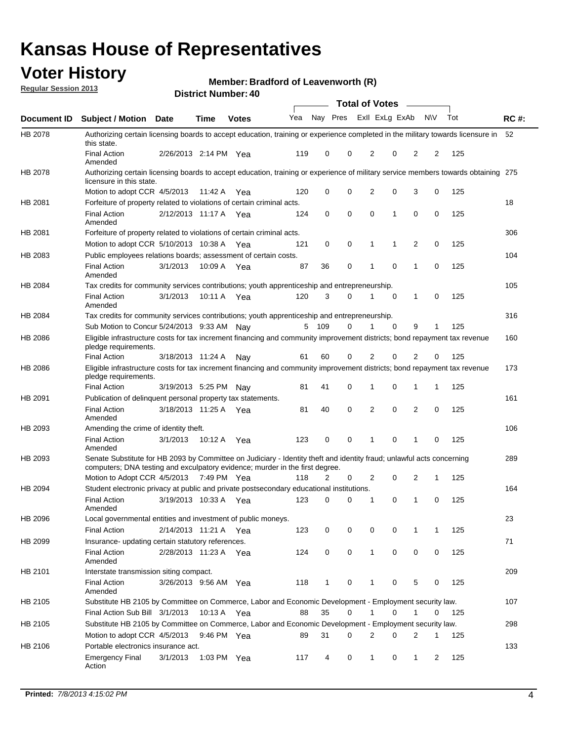## **Voter History**

**Member: Bradford of Leavenworth (R)** 

**Regular Session 2013**

|                    |                                                                                                                                                                                                       |                       |               | PIJU IVI INUIIIVU . TV |              |              |   | <b>Total of Votes</b> |             | $\overline{\phantom{a}}$ |             |     |             |
|--------------------|-------------------------------------------------------------------------------------------------------------------------------------------------------------------------------------------------------|-----------------------|---------------|------------------------|--------------|--------------|---|-----------------------|-------------|--------------------------|-------------|-----|-------------|
| <b>Document ID</b> | <b>Subject / Motion Date</b>                                                                                                                                                                          |                       | <b>Time</b>   | <b>Votes</b>           | Yea Nay Pres |              |   | Exll ExLg ExAb        |             |                          | <b>NV</b>   | Tot | <b>RC#:</b> |
| HB 2078            | Authorizing certain licensing boards to accept education, training or experience completed in the military towards licensure in<br>this state.                                                        |                       |               |                        |              |              |   |                       |             |                          |             |     | 52          |
|                    | <b>Final Action</b><br>Amended                                                                                                                                                                        | 2/26/2013 2:14 PM Yea |               |                        | 119          | 0            | 0 | 2                     | 0           | 2                        | 2           | 125 |             |
| HB 2078            | Authorizing certain licensing boards to accept education, training or experience of military service members towards obtaining 275<br>licensure in this state.                                        |                       |               |                        |              |              |   |                       |             |                          |             |     |             |
|                    | Motion to adopt CCR 4/5/2013                                                                                                                                                                          |                       | 11:42 A       | Yea                    | 120          | 0            | 0 | $\overline{2}$        | 0           | 3                        | 0           | 125 |             |
| HB 2081            | Forfeiture of property related to violations of certain criminal acts.                                                                                                                                |                       |               |                        |              |              |   |                       |             |                          |             |     | 18          |
|                    | <b>Final Action</b><br>Amended                                                                                                                                                                        | 2/12/2013 11:17 A Yea |               |                        | 124          | 0            | 0 | $\Omega$              | 1           | 0                        | 0           | 125 |             |
| HB 2081            | Forfeiture of property related to violations of certain criminal acts.                                                                                                                                |                       |               |                        |              |              |   |                       |             |                          |             |     | 306         |
|                    | Motion to adopt CCR 5/10/2013 10:38 A                                                                                                                                                                 |                       |               | Yea                    | 121          | 0            | 0 | 1                     | 1           | 2                        | 0           | 125 |             |
| HB 2083            | Public employees relations boards; assessment of certain costs.                                                                                                                                       |                       |               |                        |              |              |   |                       |             |                          |             |     | 104         |
|                    | <b>Final Action</b><br>Amended                                                                                                                                                                        | 3/1/2013              | 10:09 A       | Yea                    | 87           | 36           | 0 | 1                     | $\mathbf 0$ | 1                        | $\mathbf 0$ | 125 |             |
| HB 2084            | Tax credits for community services contributions; youth apprenticeship and entrepreneurship.                                                                                                          |                       |               |                        |              |              |   |                       |             |                          |             |     | 105         |
|                    | <b>Final Action</b><br>Amended                                                                                                                                                                        | 3/1/2013              | 10:11 A       | Yea                    | 120          | 3            | 0 | 1                     | $\mathbf 0$ | 1                        | 0           | 125 |             |
| HB 2084            | Tax credits for community services contributions; youth apprenticeship and entrepreneurship.                                                                                                          |                       |               |                        |              |              |   |                       |             |                          |             |     | 316         |
|                    | Sub Motion to Concur 5/24/2013 9:33 AM Nav                                                                                                                                                            |                       |               |                        | 5            | - 109        | 0 |                       | $\Omega$    | 9                        | 1           | 125 |             |
| HB 2086            | Eligible infrastructure costs for tax increment financing and community improvement districts; bond repayment tax revenue<br>pledge requirements.                                                     |                       |               |                        |              |              |   |                       |             |                          |             |     | 160         |
|                    | <b>Final Action</b>                                                                                                                                                                                   | 3/18/2013 11:24 A     |               | Nav                    | 61           | 60           | 0 | 2                     | 0           | $\overline{2}$           | 0           | 125 |             |
| HB 2086            | Eligible infrastructure costs for tax increment financing and community improvement districts; bond repayment tax revenue<br>pledge requirements.                                                     |                       |               |                        |              |              |   |                       |             |                          |             |     | 173         |
|                    | <b>Final Action</b>                                                                                                                                                                                   | 3/19/2013 5:25 PM     |               | Nay                    | 81           | 41           | 0 | 1                     | 0           | 1                        | 1           | 125 |             |
| HB 2091            | Publication of delinguent personal property tax statements.                                                                                                                                           |                       |               |                        |              |              |   |                       |             |                          |             |     | 161         |
|                    | <b>Final Action</b><br>Amended                                                                                                                                                                        | 3/18/2013 11:25 A     |               | Yea                    | 81           | 40           | 0 | 2                     | 0           | $\overline{2}$           | 0           | 125 |             |
| HB 2093            | Amending the crime of identity theft.                                                                                                                                                                 |                       |               |                        |              |              |   |                       |             |                          |             |     | 106         |
|                    | <b>Final Action</b><br>Amended                                                                                                                                                                        | 3/1/2013              | 10:12 A       | Yea                    | 123          | 0            | 0 | 1                     | $\Omega$    | 1                        | 0           | 125 |             |
| HB 2093            | Senate Substitute for HB 2093 by Committee on Judiciary - Identity theft and identity fraud; unlawful acts concerning<br>computers; DNA testing and exculpatory evidence; murder in the first degree. |                       |               |                        |              |              |   |                       |             |                          |             |     | 289         |
|                    | Motion to Adopt CCR 4/5/2013 7:49 PM Yea                                                                                                                                                              |                       |               |                        | 118          | 2            | 0 | 2                     | 0           | 2                        | 1           | 125 |             |
| HB 2094            | Student electronic privacy at public and private postsecondary educational institutions.                                                                                                              |                       |               |                        |              |              |   |                       |             |                          |             |     | 164         |
|                    | <b>Final Action</b><br>Amended                                                                                                                                                                        | 3/19/2013 10:33 A     |               | Yea                    | 123          | 0            | 0 | 1                     | 0           | 1                        | 0           | 125 |             |
| HB 2096            | Local governmental entities and investment of public moneys.                                                                                                                                          |                       |               |                        |              |              |   |                       |             |                          |             |     | 23          |
|                    | <b>Final Action</b>                                                                                                                                                                                   | 2/14/2013 11:21 A     |               | Yea                    | 123          | 0            | 0 | 0                     | 0           | 1                        | 1           | 125 |             |
| HB 2099            | Insurance- updating certain statutory references.                                                                                                                                                     |                       |               |                        |              |              |   |                       |             |                          |             |     | 71          |
|                    | <b>Final Action</b><br>Amended                                                                                                                                                                        | 2/28/2013 11:23 A     |               | Yea                    | 124          | 0            | 0 | 1                     | 0           | 0                        | 0           | 125 |             |
| HB 2101            | Interstate transmission siting compact.                                                                                                                                                               |                       |               |                        |              |              |   |                       |             |                          |             |     | 209         |
|                    | <b>Final Action</b><br>Amended                                                                                                                                                                        | 3/26/2013 9:56 AM Yea |               |                        | 118          | $\mathbf{1}$ | 0 | 1                     | 0           | 5                        | 0           | 125 |             |
| HB 2105            | Substitute HB 2105 by Committee on Commerce, Labor and Economic Development - Employment security law.                                                                                                |                       |               |                        |              |              |   |                       |             |                          |             |     | 107         |
|                    | Final Action Sub Bill 3/1/2013                                                                                                                                                                        |                       | 10:13 A Yea   |                        | 88           | 35           | 0 |                       | 0           | 1                        | 0           | 125 |             |
| HB 2105            | Substitute HB 2105 by Committee on Commerce, Labor and Economic Development - Employment security law.                                                                                                |                       |               |                        |              |              |   |                       |             |                          |             |     | 298         |
|                    | Motion to adopt CCR 4/5/2013                                                                                                                                                                          |                       | 9:46 PM Yea   |                        | 89           | 31           | 0 | 2                     | 0           | 2                        | 1           | 125 |             |
| HB 2106            | Portable electronics insurance act.                                                                                                                                                                   |                       |               |                        |              |              |   |                       |             |                          |             |     | 133         |
|                    | <b>Emergency Final</b><br>Action                                                                                                                                                                      | 3/1/2013              | 1:03 PM $Yea$ |                        | 117          | 4            | 0 | $\mathbf{1}$          | 0           | $\mathbf{1}$             | 2           | 125 |             |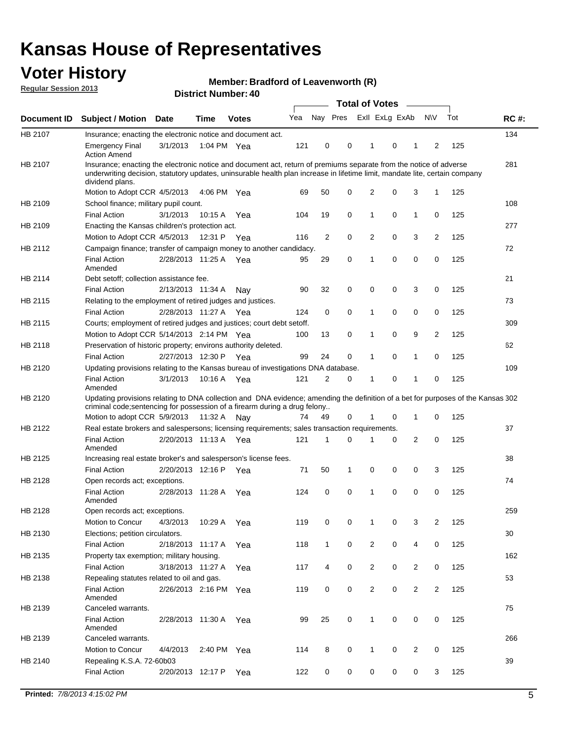## **Voter History**

**Member: Bradford of Leavenworth (R)** 

**Regular Session 2013**

|             |                                                                                                                                                                                                                                                                      |                       |             | טד . וסעווואזו וטווע |     |                | <b>Total of Votes</b> |                |   | $\sim$         |                |     |             |
|-------------|----------------------------------------------------------------------------------------------------------------------------------------------------------------------------------------------------------------------------------------------------------------------|-----------------------|-------------|----------------------|-----|----------------|-----------------------|----------------|---|----------------|----------------|-----|-------------|
| Document ID | <b>Subject / Motion Date</b>                                                                                                                                                                                                                                         |                       | <b>Time</b> | <b>Votes</b>         | Yea | Nay Pres       |                       | Exll ExLg ExAb |   |                | <b>NV</b>      | Tot | <b>RC#:</b> |
| HB 2107     | Insurance; enacting the electronic notice and document act.                                                                                                                                                                                                          |                       |             |                      |     |                |                       |                |   |                |                |     | 134         |
|             | <b>Emergency Final</b><br><b>Action Amend</b>                                                                                                                                                                                                                        | 3/1/2013              | 1:04 PM Yea |                      | 121 | 0              | 0                     | 1              | 0 | 1              | 2              | 125 |             |
| HB 2107     | Insurance; enacting the electronic notice and document act, return of premiums separate from the notice of adverse<br>underwriting decision, statutory updates, uninsurable health plan increase in lifetime limit, mandate lite, certain company<br>dividend plans. |                       |             |                      |     |                |                       |                |   |                |                |     | 281         |
|             | Motion to Adopt CCR 4/5/2013                                                                                                                                                                                                                                         |                       | 4:06 PM Yea |                      | 69  | 50             | 0                     | 2              | 0 | 3              | $\mathbf{1}$   | 125 |             |
| HB 2109     | School finance; military pupil count.                                                                                                                                                                                                                                |                       |             |                      |     |                |                       |                |   |                |                |     | 108         |
|             | <b>Final Action</b>                                                                                                                                                                                                                                                  | 3/1/2013              | 10:15A      | Yea                  | 104 | 19             | 0                     | 1              | 0 | $\mathbf{1}$   | 0              | 125 |             |
| HB 2109     | Enacting the Kansas children's protection act.                                                                                                                                                                                                                       |                       |             |                      |     |                |                       |                |   |                |                |     | 277         |
|             | Motion to Adopt CCR 4/5/2013                                                                                                                                                                                                                                         |                       | 12:31 P     | Yea                  | 116 | $\overline{2}$ | 0                     | 2              | 0 | 3              | $\overline{2}$ | 125 |             |
| HB 2112     | Campaign finance; transfer of campaign money to another candidacy.                                                                                                                                                                                                   |                       |             |                      |     |                |                       |                |   |                |                |     | 72          |
|             | <b>Final Action</b><br>Amended                                                                                                                                                                                                                                       | 2/28/2013 11:25 A Yea |             |                      | 95  | 29             | 0                     | 1              | 0 | 0              | 0              | 125 |             |
| HB 2114     | Debt setoff; collection assistance fee.                                                                                                                                                                                                                              |                       |             |                      |     |                |                       |                |   |                |                |     | 21          |
|             | <b>Final Action</b>                                                                                                                                                                                                                                                  | 2/13/2013 11:34 A     |             | Nav                  | 90  | 32             | 0                     | 0              | 0 | 3              | 0              | 125 |             |
| HB 2115     | Relating to the employment of retired judges and justices.                                                                                                                                                                                                           |                       |             |                      |     |                |                       |                |   |                |                |     | 73          |
|             | <b>Final Action</b>                                                                                                                                                                                                                                                  | 2/28/2013 11:27 A     |             | Yea                  | 124 | 0              | $\mathbf 0$           | 1              | 0 | 0              | 0              | 125 |             |
| HB 2115     | Courts; employment of retired judges and justices; court debt setoff.                                                                                                                                                                                                |                       |             |                      |     |                |                       |                |   |                |                |     | 309         |
|             | Motion to Adopt CCR 5/14/2013 2:14 PM Yea                                                                                                                                                                                                                            |                       |             |                      | 100 | 13             | 0                     | 1              | 0 | 9              | $\overline{2}$ | 125 |             |
| HB 2118     | Preservation of historic property; environs authority deleted.                                                                                                                                                                                                       |                       |             |                      |     |                |                       |                |   |                |                |     | 62          |
|             | <b>Final Action</b>                                                                                                                                                                                                                                                  | 2/27/2013 12:30 P     |             | Yea                  | 99  | 24             | 0                     | 1              | 0 | $\mathbf{1}$   | 0              | 125 |             |
| HB 2120     | Updating provisions relating to the Kansas bureau of investigations DNA database.                                                                                                                                                                                    |                       |             |                      |     |                |                       |                |   |                |                |     | 109         |
|             | <b>Final Action</b><br>Amended                                                                                                                                                                                                                                       | 3/1/2013              | 10:16 A     | Yea                  | 121 | 2              | 0                     | 1              | 0 | 1              | 0              | 125 |             |
| HB 2120     | Updating provisions relating to DNA collection and DNA evidence; amending the definition of a bet for purposes of the Kansas 302<br>criminal code; sentencing for possession of a firearm during a drug felony                                                       |                       |             |                      |     |                |                       |                |   |                |                |     |             |
|             | Motion to adopt CCR 5/9/2013 11:32 A Nay                                                                                                                                                                                                                             |                       |             |                      | 74  | 49             | 0                     |                | 0 | 1              | 0              | 125 |             |
| HB 2122     | Real estate brokers and salespersons; licensing requirements; sales transaction requirements.<br><b>Final Action</b>                                                                                                                                                 | 2/20/2013 11:13 A Yea |             |                      | 121 | 1              | $\Omega$              |                | 0 | 2              | 0              | 125 | 37          |
|             | Amended                                                                                                                                                                                                                                                              |                       |             |                      |     |                |                       |                |   |                |                |     |             |
| HB 2125     | Increasing real estate broker's and salesperson's license fees.                                                                                                                                                                                                      |                       |             |                      |     |                |                       |                |   |                |                |     | 38          |
|             | <b>Final Action</b>                                                                                                                                                                                                                                                  | 2/20/2013 12:16 P     |             | Yea                  | 71  | 50             | 1                     | 0              | 0 | 0              | 3              | 125 |             |
| HB 2128     | Open records act; exceptions.                                                                                                                                                                                                                                        |                       |             |                      |     |                |                       |                |   |                |                |     | 74          |
|             | <b>Final Action</b><br>Amended                                                                                                                                                                                                                                       | 2/28/2013 11:28 A     |             | Yea                  | 124 | 0              | 0                     | 1              | 0 | 0              | 0              | 125 |             |
| HB 2128     | Open records act; exceptions.                                                                                                                                                                                                                                        |                       |             |                      |     |                |                       |                |   |                |                |     | 259         |
|             | Motion to Concur                                                                                                                                                                                                                                                     | 4/3/2013              | 10:29 A     | Yea                  | 119 | 0              | 0                     | 1              | 0 | 3              | $\overline{2}$ | 125 |             |
| HB 2130     | Elections; petition circulators.                                                                                                                                                                                                                                     |                       |             |                      |     |                |                       |                |   |                |                |     | 30          |
|             | <b>Final Action</b>                                                                                                                                                                                                                                                  | 2/18/2013 11:17 A     |             | Yea                  | 118 | $\mathbf{1}$   | 0                     | $\overline{c}$ | 0 | 4              | 0              | 125 |             |
| HB 2135     | Property tax exemption; military housing.                                                                                                                                                                                                                            |                       |             |                      |     |                |                       |                |   |                |                |     | 162         |
|             | <b>Final Action</b>                                                                                                                                                                                                                                                  | 3/18/2013 11:27 A     |             | Yea                  | 117 | 4              | 0                     | $\overline{c}$ | 0 | $\overline{2}$ | 0              | 125 |             |
| HB 2138     | Repealing statutes related to oil and gas.                                                                                                                                                                                                                           |                       |             |                      |     |                |                       |                |   |                |                |     | 53          |
|             | <b>Final Action</b><br>Amended                                                                                                                                                                                                                                       | 2/26/2013 2:16 PM Yea |             |                      | 119 | 0              | 0                     | 2              | 0 | $\overline{2}$ | $\overline{2}$ | 125 |             |
| HB 2139     | Canceled warrants.                                                                                                                                                                                                                                                   |                       |             |                      |     |                |                       |                |   |                |                |     | 75          |
|             | <b>Final Action</b><br>Amended                                                                                                                                                                                                                                       | 2/28/2013 11:30 A     |             | Yea                  | 99  | 25             | 0                     | 1              | 0 | 0              | 0              | 125 |             |
| HB 2139     | Canceled warrants.                                                                                                                                                                                                                                                   |                       |             |                      |     |                |                       |                |   |                |                |     | 266         |
|             | Motion to Concur                                                                                                                                                                                                                                                     | 4/4/2013              | 2:40 PM     | Yea                  | 114 | 8              | 0                     | 1              | 0 | 2              | 0              | 125 |             |
| HB 2140     | Repealing K.S.A. 72-60b03                                                                                                                                                                                                                                            |                       |             |                      |     |                |                       |                |   |                |                |     | 39          |
|             | <b>Final Action</b>                                                                                                                                                                                                                                                  | 2/20/2013 12:17 P     |             | Yea                  | 122 | 0              | 0                     | 0              | 0 | 0              | 3              | 125 |             |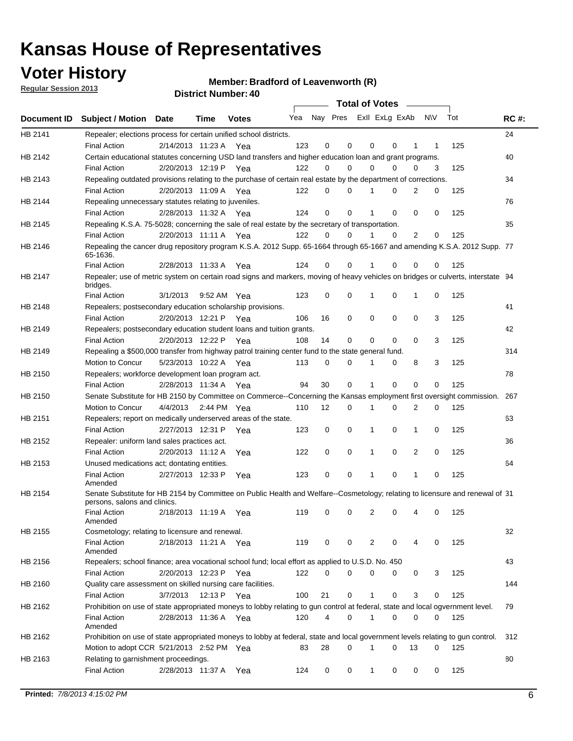## **Voter History**

**Member: Bradford of Leavenworth (R)** 

**Regular Session 2013**

|                    |                                                                                                                                              |          |                       |              |     |    | <b>Total of Votes</b>   |              |          | $\sim 100$     |     |     |             |
|--------------------|----------------------------------------------------------------------------------------------------------------------------------------------|----------|-----------------------|--------------|-----|----|-------------------------|--------------|----------|----------------|-----|-----|-------------|
| <b>Document ID</b> | <b>Subject / Motion Date</b>                                                                                                                 |          | Time                  | <b>Votes</b> | Yea |    | Nay Pres ExII ExLg ExAb |              |          |                | N\V | Tot | <b>RC#:</b> |
| HB 2141            | Repealer; elections process for certain unified school districts.                                                                            |          |                       |              |     |    |                         |              |          |                |     |     | 24          |
|                    | <b>Final Action</b>                                                                                                                          |          | 2/14/2013 11:23 A     | Yea          | 123 | 0  | 0                       | 0            | 0        | 1              | 1   | 125 |             |
| HB 2142            | Certain educational statutes concerning USD land transfers and higher education loan and grant programs.                                     |          |                       |              |     |    |                         |              |          |                |     |     | 40          |
|                    | <b>Final Action</b>                                                                                                                          |          | 2/20/2013 12:19 P Yea |              | 122 | 0  | 0                       | 0            | $\Omega$ | 0              | 3   | 125 |             |
| HB 2143            | Repealing outdated provisions relating to the purchase of certain real estate by the department of corrections.                              |          |                       |              |     |    |                         |              |          |                |     |     | 34          |
|                    | <b>Final Action</b>                                                                                                                          |          | 2/20/2013 11:09 A Yea |              | 122 | 0  | 0                       | 1            | 0        | $\overline{2}$ | 0   | 125 |             |
| HB 2144            | Repealing unnecessary statutes relating to juveniles.                                                                                        |          |                       |              |     |    |                         |              |          |                |     |     | 76          |
|                    | <b>Final Action</b>                                                                                                                          |          | 2/28/2013 11:32 A Yea |              | 124 | 0  | 0                       | 1            | 0        | 0              | 0   | 125 |             |
| HB 2145            | Repealing K.S.A. 75-5028; concerning the sale of real estate by the secretary of transportation.                                             |          |                       |              |     |    |                         |              |          |                |     |     | 35          |
|                    | <b>Final Action</b>                                                                                                                          |          | 2/20/2013 11:11 A Yea |              | 122 | 0  | 0                       | 1            | 0        | 2              | 0   | 125 |             |
| HB 2146            | Repealing the cancer drug repository program K.S.A. 2012 Supp. 65-1664 through 65-1667 and amending K.S.A. 2012 Supp. 77<br>65-1636.         |          |                       |              |     |    |                         |              |          |                |     |     |             |
|                    | <b>Final Action</b>                                                                                                                          |          | 2/28/2013 11:33 A     | Yea          | 124 | 0  | 0                       | 1            | $\Omega$ | 0              | 0   | 125 |             |
| HB 2147            | Repealer; use of metric system on certain road signs and markers, moving of heavy vehicles on bridges or culverts, interstate 94<br>bridges. |          |                       |              |     |    |                         |              |          |                |     |     |             |
|                    | <b>Final Action</b>                                                                                                                          | 3/1/2013 |                       | 9:52 AM Yea  | 123 | 0  | 0                       |              | 0        | 1              | 0   | 125 |             |
| HB 2148            | Repealers; postsecondary education scholarship provisions.                                                                                   |          |                       |              |     |    |                         |              |          |                |     |     | 41          |
|                    | <b>Final Action</b>                                                                                                                          |          | 2/20/2013 12:21 P     | Yea          | 106 | 16 | $\mathbf 0$             | 0            | 0        | $\mathbf 0$    | 3   | 125 |             |
| HB 2149            | Repealers; postsecondary education student loans and tuition grants.                                                                         |          |                       |              |     |    |                         |              |          |                |     |     | 42          |
|                    | <b>Final Action</b>                                                                                                                          |          | 2/20/2013 12:22 P     | Yea          | 108 | 14 | 0                       | 0            | $\Omega$ | $\Omega$       | 3   | 125 |             |
| HB 2149            | Repealing a \$500,000 transfer from highway patrol training center fund to the state general fund.                                           |          |                       |              |     |    |                         |              |          |                |     |     | 314         |
|                    | Motion to Concur                                                                                                                             |          | 5/23/2013 10:22 A Yea |              | 113 | 0  | 0                       |              | 0        | 8              | 3   | 125 |             |
| HB 2150            | Repealers; workforce development loan program act.                                                                                           |          |                       |              |     |    |                         |              |          |                |     |     | 78          |
|                    | <b>Final Action</b>                                                                                                                          |          | 2/28/2013 11:34 A Yea |              | 94  | 30 | $\mathbf 0$             | 1            | 0        | 0              | 0   | 125 |             |
| HB 2150            | Senate Substitute for HB 2150 by Committee on Commerce--Concerning the Kansas employment first oversight commission.                         |          |                       |              |     |    |                         |              |          |                |     |     | 267         |
|                    | Motion to Concur                                                                                                                             |          | 4/4/2013 2:44 PM Yea  |              | 110 | 12 | 0                       | 1            | 0        | 2              | 0   | 125 |             |
| HB 2151            | Repealers; report on medically underserved areas of the state.                                                                               |          |                       |              |     |    |                         |              |          |                |     |     | 63          |
|                    | <b>Final Action</b>                                                                                                                          |          | 2/27/2013 12:31 P     | Yea          | 123 | 0  | $\mathbf 0$             | 1            | 0        | 1              | 0   | 125 |             |
| HB 2152            | Repealer: uniform land sales practices act.                                                                                                  |          |                       |              |     |    |                         |              |          |                |     |     | 36          |
|                    | <b>Final Action</b>                                                                                                                          |          | 2/20/2013 11:12 A     | Yea          | 122 | 0  | $\mathbf 0$             | 1            | 0        | 2              | 0   | 125 |             |
| HB 2153            | Unused medications act; dontating entities.                                                                                                  |          |                       |              |     |    |                         |              |          |                |     |     | 64          |
|                    | <b>Final Action</b><br>Amended                                                                                                               |          | 2/27/2013 12:33 P     | Yea          | 123 | 0  | 0                       | 1            | 0        | 1              | 0   | 125 |             |
| HB 2154            | Senate Substitute for HB 2154 by Committee on Public Health and Welfare--Cosmetology; relating to licensure and renewal of 31                |          |                       |              |     |    |                         |              |          |                |     |     |             |
|                    | persons, salons and clinics.<br><b>Final Action</b><br>Amended                                                                               |          | 2/18/2013 11:19 A     | Yea          | 119 | 0  | 0                       | 2            | 0        | 4              | 0   | 125 |             |
| HB 2155            | Cosmetology; relating to licensure and renewal.                                                                                              |          |                       |              |     |    |                         |              |          |                |     |     | 32          |
|                    | <b>Final Action</b><br>Amended                                                                                                               |          | 2/18/2013 11:21 A Yea |              | 119 | 0  | 0                       | 2            | 0        |                | 0   | 125 |             |
| HB 2156            | Repealers; school finance; area vocational school fund; local effort as applied to U.S.D. No. 450                                            |          |                       |              |     |    |                         |              |          |                |     |     | 43          |
|                    | <b>Final Action</b>                                                                                                                          |          | 2/20/2013 12:23 P     | Yea          | 122 | 0  | 0                       | 0            | 0        | 0              | 3   | 125 |             |
| HB 2160            | Quality care assessment on skilled nursing care facilities.                                                                                  |          |                       |              |     |    |                         |              |          |                |     |     | 144         |
|                    | <b>Final Action</b>                                                                                                                          | 3/7/2013 | 12:13 P               | Yea          | 100 | 21 | 0                       | 1            | 0        | 3              | 0   | 125 |             |
| HB 2162            | Prohibition on use of state appropriated moneys to lobby relating to gun control at federal, state and local ogvernment level.               |          |                       |              |     |    |                         |              |          |                |     |     | 79          |
|                    | Final Action<br>Amended                                                                                                                      |          | 2/28/2013 11:36 A Yea |              | 120 | 4  | 0                       | $\mathbf 1$  | 0        | 0              | 0   | 125 |             |
| HB 2162            | Prohibition on use of state appropriated moneys to lobby at federal, state and local government levels relating to gun control.              |          |                       |              |     |    |                         |              |          |                |     |     | 312         |
|                    | Motion to adopt CCR 5/21/2013 2:52 PM Yea                                                                                                    |          |                       |              | 83  | 28 | 0                       |              | 0        | 13             | 0   | 125 |             |
| HB 2163            | Relating to garnishment proceedings.                                                                                                         |          |                       |              |     |    |                         |              |          |                |     |     | 80          |
|                    | <b>Final Action</b>                                                                                                                          |          | 2/28/2013 11:37 A     | Yea          | 124 | 0  | 0                       | $\mathbf{1}$ | 0        | 0              | 0   | 125 |             |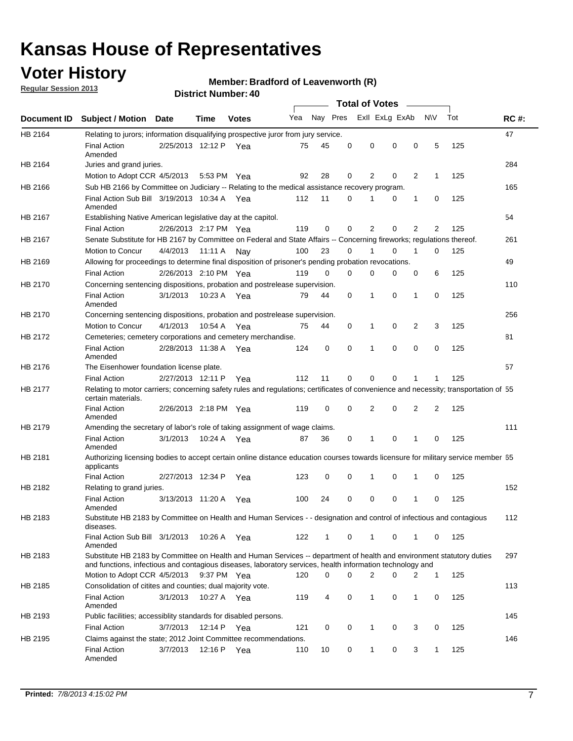## **Voter History**

**Member: Bradford of Leavenworth (R)** 

**Regular Session 2013**

|             |                                                                                                                                                                                                                                    |                       |             |              |     |              |          | <b>Total of Votes</b> |          |                |                |     |             |
|-------------|------------------------------------------------------------------------------------------------------------------------------------------------------------------------------------------------------------------------------------|-----------------------|-------------|--------------|-----|--------------|----------|-----------------------|----------|----------------|----------------|-----|-------------|
| Document ID | <b>Subject / Motion Date</b>                                                                                                                                                                                                       |                       | Time        | <b>Votes</b> | Yea | Nay Pres     |          | Exll ExLg ExAb        |          |                | <b>NV</b>      | Tot | <b>RC#:</b> |
| HB 2164     | Relating to jurors; information disqualifying prospective juror from jury service.                                                                                                                                                 |                       |             |              |     |              |          |                       |          |                |                |     | 47          |
|             | <b>Final Action</b><br>Amended                                                                                                                                                                                                     | 2/25/2013 12:12 P     |             | Yea          | 75  | 45           | 0        | 0                     | 0        | 0              | 5              | 125 |             |
| HB 2164     | Juries and grand juries.                                                                                                                                                                                                           |                       |             |              |     |              |          |                       |          |                |                |     | 284         |
|             | Motion to Adopt CCR 4/5/2013                                                                                                                                                                                                       |                       |             | 5:53 PM Yea  | 92  | 28           | 0        | 2                     | 0        | 2              | 1              | 125 |             |
| HB 2166     | Sub HB 2166 by Committee on Judiciary -- Relating to the medical assistance recovery program.                                                                                                                                      |                       |             |              |     |              |          |                       |          |                |                |     | 165         |
|             | Final Action Sub Bill 3/19/2013 10:34 A Yea<br>Amended                                                                                                                                                                             |                       |             |              | 112 | 11           | 0        |                       | 0        | 1              | 0              | 125 |             |
| HB 2167     | Establishing Native American legislative day at the capitol.                                                                                                                                                                       |                       |             |              |     |              |          |                       |          |                |                |     | 54          |
|             | <b>Final Action</b>                                                                                                                                                                                                                | 2/26/2013 2:17 PM Yea |             |              | 119 | 0            | 0        | 2                     | 0        | $\overline{2}$ | $\overline{2}$ | 125 |             |
| HB 2167     | Senate Substitute for HB 2167 by Committee on Federal and State Affairs -- Concerning fireworks; regulations thereof.                                                                                                              |                       |             |              |     |              |          |                       |          |                |                |     | 261         |
|             | Motion to Concur                                                                                                                                                                                                                   | 4/4/2013 11:11 A Nay  |             |              | 100 | 23           | 0        |                       | $\Omega$ | 1              | 0              | 125 |             |
| HB 2169     | Allowing for proceedings to determine final disposition of prisoner's pending probation revocations.                                                                                                                               |                       |             |              |     |              |          |                       |          |                |                |     | 49          |
|             | <b>Final Action</b>                                                                                                                                                                                                                | 2/26/2013 2:10 PM Yea |             |              | 119 | $\Omega$     | $\Omega$ | 0                     | 0        | 0              | 6              | 125 |             |
| HB 2170     | Concerning sentencing dispositions, probation and postrelease supervision.                                                                                                                                                         |                       |             |              |     |              |          |                       |          |                |                |     | 110         |
|             | <b>Final Action</b><br>Amended                                                                                                                                                                                                     | 3/1/2013              | 10:23 A Yea |              | 79  | 44           | 0        | 1                     | $\Omega$ | 1              | 0              | 125 |             |
| HB 2170     | Concerning sentencing dispositions, probation and postrelease supervision.                                                                                                                                                         |                       |             |              |     |              |          |                       |          |                |                |     | 256         |
|             | Motion to Concur                                                                                                                                                                                                                   | 4/1/2013              | 10:54 A     | Yea          | 75  | 44           | 0        | 1                     | 0        | 2              | 3              | 125 |             |
| HB 2172     | Cemeteries; cemetery corporations and cemetery merchandise.                                                                                                                                                                        |                       |             |              |     |              |          |                       |          |                |                |     | 81          |
|             | <b>Final Action</b><br>Amended                                                                                                                                                                                                     | 2/28/2013 11:38 A     |             | Yea          | 124 | 0            | 0        | 1                     | 0        | 0              | 0              | 125 |             |
| HB 2176     | The Eisenhower foundation license plate.                                                                                                                                                                                           |                       |             |              |     |              |          |                       |          |                |                |     | 57          |
|             | <b>Final Action</b>                                                                                                                                                                                                                | 2/27/2013 12:11 P     |             | Yea          | 112 | 11           | 0        | 0                     | 0        | 1              | 1              | 125 |             |
| HB 2177     | Relating to motor carriers; concerning safety rules and regulations; certificates of convenience and necessity; transportation of 55<br>certain materials.                                                                         |                       |             |              |     |              |          |                       |          |                |                |     |             |
|             | Final Action<br>Amended                                                                                                                                                                                                            | 2/26/2013 2:18 PM Yea |             |              | 119 | 0            | 0        | 2                     | 0        | $\overline{2}$ | 2              | 125 |             |
| HB 2179     | Amending the secretary of labor's role of taking assignment of wage claims.                                                                                                                                                        |                       |             |              |     |              |          |                       |          |                |                |     | 111         |
|             | <b>Final Action</b><br>Amended                                                                                                                                                                                                     | 3/1/2013              | 10:24 A     | Yea          | 87  | 36           | 0        | 1                     | 0        | 1              | 0              | 125 |             |
| HB 2181     | Authorizing licensing bodies to accept certain online distance education courses towards licensure for military service member 55<br>applicants                                                                                    |                       |             |              |     |              |          |                       |          |                |                |     |             |
|             | <b>Final Action</b>                                                                                                                                                                                                                | 2/27/2013 12:34 P     |             | Yea          | 123 | 0            | 0        | 1                     | 0        | 1              | 0              | 125 |             |
| HB 2182     | Relating to grand juries.                                                                                                                                                                                                          |                       |             |              |     |              |          |                       |          |                |                |     | 152         |
|             | <b>Final Action</b><br>Amended                                                                                                                                                                                                     | 3/13/2013 11:20 A     |             | Yea          | 100 | 24           | 0        | 0                     | 0        | 1              | 0              | 125 |             |
| HB 2183     | Substitute HB 2183 by Committee on Health and Human Services - - designation and control of infectious and contagious<br>diseases.                                                                                                 |                       |             |              |     |              |          |                       |          |                |                |     | 112         |
|             | Final Action Sub Bill 3/1/2013<br>Amended                                                                                                                                                                                          |                       |             | 10:26 A Yea  | 122 | $\mathbf{1}$ | 0        | $\mathbf{1}$          | 0        | $\mathbf{1}$   | 0              | 125 |             |
| HB 2183     | Substitute HB 2183 by Committee on Health and Human Services -- department of health and environment statutory duties<br>and functions, infectious and contagious diseases, laboratory services, health information technology and |                       |             |              |     |              |          |                       |          |                |                |     | 297         |
|             | Motion to Adopt CCR 4/5/2013                                                                                                                                                                                                       |                       |             | 9:37 PM Yea  | 120 | 0            | 0        | $\overline{2}$        | 0        | 2              | $\mathbf{1}$   | 125 |             |
| HB 2185     | Consolidation of citites and counties; dual majority vote.                                                                                                                                                                         |                       |             |              |     |              |          |                       |          |                |                |     | 113         |
|             | <b>Final Action</b><br>Amended                                                                                                                                                                                                     | 3/1/2013              |             | 10:27 A Yea  | 119 | 4            | 0        | 1                     | 0        | 1              | 0              | 125 |             |
| HB 2193     | Public facilities; accessiblity standards for disabled persons.                                                                                                                                                                    |                       |             |              |     |              |          |                       |          |                |                |     | 145         |
|             | <b>Final Action</b>                                                                                                                                                                                                                | 3/7/2013              | 12:14 P Yea |              | 121 | 0            | 0        | 1                     | 0        | 3              | 0              | 125 |             |
| HB 2195     | Claims against the state; 2012 Joint Committee recommendations.                                                                                                                                                                    |                       |             |              |     |              |          |                       |          |                |                |     | 146         |
|             | <b>Final Action</b><br>Amended                                                                                                                                                                                                     | 3/7/2013              | 12:16 P Yea |              | 110 | 10           | 0        | 1                     | 0        | 3              | $\mathbf{1}$   | 125 |             |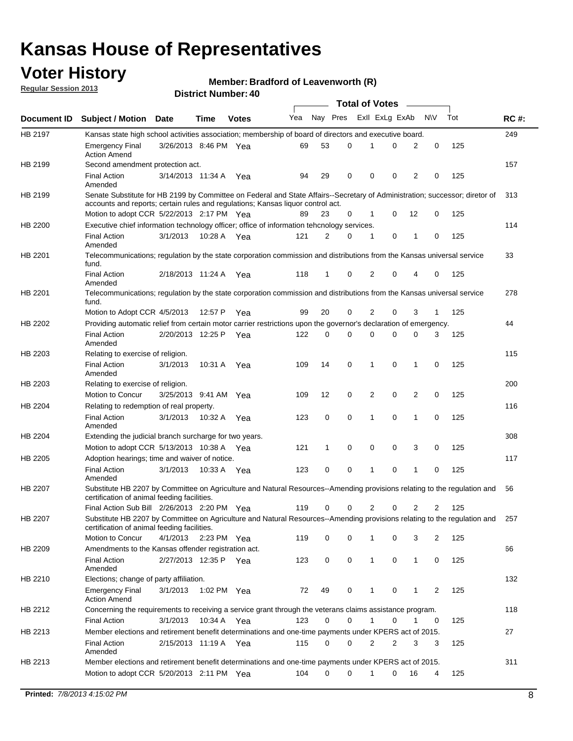## **Voter History**

**Member: Bradford of Leavenworth (R)** 

**Regular Session 2013**

|                |                                                                                                                                                                                                                |                       |         |              |     |          |          | <b>Total of Votes</b> |   |              |            |     |             |
|----------------|----------------------------------------------------------------------------------------------------------------------------------------------------------------------------------------------------------------|-----------------------|---------|--------------|-----|----------|----------|-----------------------|---|--------------|------------|-----|-------------|
| Document ID    | <b>Subject / Motion Date</b>                                                                                                                                                                                   |                       | Time    | <b>Votes</b> | Yea | Nay Pres |          | Exll ExLg ExAb        |   |              | <b>N/A</b> | Tot | <b>RC#:</b> |
| HB 2197        | Kansas state high school activities association; membership of board of directors and executive board.                                                                                                         |                       |         |              |     |          |          |                       |   |              |            |     | 249         |
|                | <b>Emergency Final</b><br><b>Action Amend</b>                                                                                                                                                                  | 3/26/2013 8:46 PM Yea |         |              | 69  | 53       | 0        |                       | 0 | 2            | 0          | 125 |             |
| HB 2199        | Second amendment protection act.                                                                                                                                                                               |                       |         |              |     |          |          |                       |   |              |            |     | 157         |
|                | <b>Final Action</b><br>Amended                                                                                                                                                                                 | 3/14/2013 11:34 A     |         | Yea          | 94  | 29       | 0        | 0                     | 0 | 2            | 0          | 125 |             |
| HB 2199        | Senate Substitute for HB 2199 by Committee on Federal and State Affairs--Secretary of Administration; successor; diretor of<br>accounts and reports; certain rules and regulations; Kansas liquor control act. |                       |         |              |     |          |          |                       |   |              |            |     | 313         |
|                | Motion to adopt CCR 5/22/2013 2:17 PM Yea                                                                                                                                                                      |                       |         |              | 89  | 23       | 0        | 1                     | 0 | 12           | 0          | 125 |             |
| HB 2200        | Executive chief information technology officer; office of information tehcnology services.                                                                                                                     |                       |         |              |     |          |          |                       |   |              |            |     | 114         |
|                | <b>Final Action</b><br>Amended                                                                                                                                                                                 | 3/1/2013              | 10:28 A | Yea          | 121 | 2        | 0        | 1                     | 0 | 1            | 0          | 125 |             |
| HB 2201        | Telecommunications; regulation by the state corporation commission and distributions from the Kansas universal service<br>fund.                                                                                |                       |         |              |     |          |          |                       |   |              |            |     | 33          |
|                | <b>Final Action</b><br>Amended                                                                                                                                                                                 | 2/18/2013 11:24 A     |         | Yea          | 118 | 1        | 0        | 2                     | 0 | 4            | 0          | 125 |             |
| HB 2201        | Telecommunications; regulation by the state corporation commission and distributions from the Kansas universal service<br>fund.                                                                                |                       |         |              |     |          |          |                       |   |              |            |     | 278         |
|                | Motion to Adopt CCR 4/5/2013                                                                                                                                                                                   |                       | 12:57 P | Yea          | 99  | 20       | 0        | 2                     | 0 | 3            | 1          | 125 |             |
| HB 2202        | Providing automatic relief from certain motor carrier restrictions upon the governor's declaration of emergency.                                                                                               |                       |         |              |     |          |          |                       |   |              |            |     | 44          |
|                | <b>Final Action</b><br>Amended                                                                                                                                                                                 | 2/20/2013 12:25 P     |         | Yea          | 122 | 0        | 0        | 0                     | 0 | 0            | 3          | 125 |             |
| HB 2203        | Relating to exercise of religion.                                                                                                                                                                              |                       |         |              |     |          |          |                       |   |              |            |     | 115         |
|                | <b>Final Action</b><br>Amended                                                                                                                                                                                 | 3/1/2013              | 10:31 A | Yea          | 109 | 14       | 0        | 1                     | 0 | 1            | 0          | 125 |             |
| HB 2203        | Relating to exercise of religion.                                                                                                                                                                              |                       |         |              |     |          |          |                       |   |              |            |     | 200         |
|                | Motion to Concur                                                                                                                                                                                               | 3/25/2013 9:41 AM     |         | Yea          | 109 | 12       | 0        | 2                     | 0 | 2            | 0          | 125 |             |
| HB 2204        | Relating to redemption of real property.                                                                                                                                                                       |                       |         |              |     |          |          |                       |   |              |            |     | 116         |
|                | <b>Final Action</b><br>Amended                                                                                                                                                                                 | 3/1/2013              | 10:32 A | Yea          | 123 | 0        | 0        | 1                     | 0 | 1            | 0          | 125 |             |
| HB 2204        | Extending the judicial branch surcharge for two years.                                                                                                                                                         |                       |         |              |     |          |          |                       |   |              |            |     | 308         |
|                | Motion to adopt CCR 5/13/2013 10:38 A                                                                                                                                                                          |                       |         | Yea          | 121 | 1        | 0        | 0                     | 0 | 3            | 0          | 125 |             |
| HB 2205        | Adoption hearings; time and waiver of notice.                                                                                                                                                                  |                       |         |              |     |          |          |                       |   |              |            |     | 117         |
|                | <b>Final Action</b><br>Amended                                                                                                                                                                                 | 3/1/2013              |         | 10:33 A Yea  | 123 | 0        | 0        | 1                     | 0 | 1            | 0          | 125 |             |
| HB 2207        | Substitute HB 2207 by Committee on Agriculture and Natural Resources--Amending provisions relating to the regulation and<br>certification of animal feeding facilities.                                        |                       |         |              |     |          |          |                       |   |              |            |     | 56          |
|                | Final Action Sub Bill 2/26/2013 2:20 PM Yea                                                                                                                                                                    |                       |         |              | 119 | 0        | 0        | 2                     | 0 | 2            | 2          | 125 |             |
| <b>HB 2207</b> | Substitute HB 2207 by Committee on Agriculture and Natural Resources--Amending provisions relating to the regulation and 257<br>certification of animal feeding facilities.                                    |                       |         |              |     |          |          |                       |   |              |            |     |             |
|                | Motion to Concur                                                                                                                                                                                               | 4/1/2013 2:23 PM Yea  |         |              | 119 | 0        | 0        | 1                     | 0 | 3            | 2          | 125 |             |
| HB 2209        | Amendments to the Kansas offender registration act.                                                                                                                                                            |                       |         |              |     |          |          |                       |   |              |            |     | 66          |
|                | Final Action<br>Amended                                                                                                                                                                                        | 2/27/2013 12:35 P Yea |         |              | 123 | 0        | 0        | $\mathbf{1}$          | 0 | $\mathbf{1}$ | 0          | 125 |             |
| HB 2210        | Elections; change of party affiliation.                                                                                                                                                                        |                       |         |              |     |          |          |                       |   |              |            |     | 132         |
|                | <b>Emergency Final</b><br><b>Action Amend</b>                                                                                                                                                                  | 3/1/2013              |         | 1:02 PM Yea  | 72  | 49       | 0        |                       | 0 | 1            | 2          | 125 |             |
| HB 2212        | Concerning the requirements to receiving a service grant through the veterans claims assistance program.<br>Final Action                                                                                       | 3/1/2013              |         | 10:34 A Yea  | 123 | 0        | 0        | $\mathbf{1}$          | 0 | 1            | 0          | 125 | 118         |
| HB 2213        | Member elections and retirement benefit determinations and one-time payments under KPERS act of 2015.                                                                                                          |                       |         |              |     |          |          |                       |   |              |            |     | 27          |
|                | <b>Final Action</b><br>Amended                                                                                                                                                                                 | 2/15/2013 11:19 A Yea |         |              | 115 | 0        | 0        | 2                     | 2 | 3            | 3          | 125 |             |
| HB 2213        | Member elections and retirement benefit determinations and one-time payments under KPERS act of 2015.                                                                                                          |                       |         |              |     |          |          |                       |   |              |            |     | 311         |
|                | Motion to adopt CCR 5/20/2013 2:11 PM Yea                                                                                                                                                                      |                       |         |              | 104 | $\Omega$ | $\Omega$ | 1                     | 0 | 16           | 4          | 125 |             |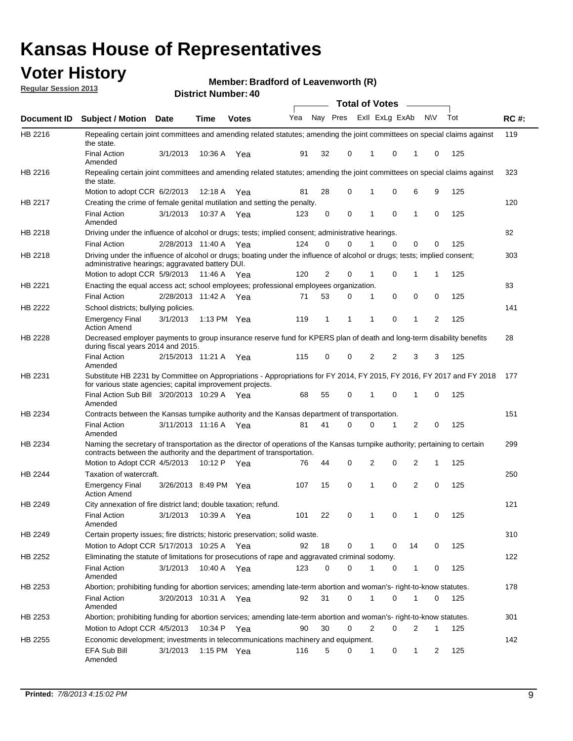## **Voter History**

**Member: Bradford of Leavenworth (R)** 

**Regular Session 2013**

|                |                                                                                                                                                                                                       |                       |             | טד . וסעוווער ועוווסוע |                             |              |          |              | <b>Total of Votes</b> | $\sim$         |              |     |             |
|----------------|-------------------------------------------------------------------------------------------------------------------------------------------------------------------------------------------------------|-----------------------|-------------|------------------------|-----------------------------|--------------|----------|--------------|-----------------------|----------------|--------------|-----|-------------|
| Document ID    | <b>Subject / Motion Date</b>                                                                                                                                                                          |                       | <b>Time</b> | <b>Votes</b>           | Yea Nay Pres ExII ExLg ExAb |              |          |              |                       |                | <b>NV</b>    | Tot | <b>RC#:</b> |
| HB 2216        | Repealing certain joint committees and amending related statutes; amending the joint committees on special claims against<br>the state.                                                               |                       |             |                        |                             |              |          |              |                       |                |              |     | 119         |
|                | <b>Final Action</b><br>Amended                                                                                                                                                                        | 3/1/2013              | 10:36 A     | Yea                    | 91                          | 32           | 0        | 1            | 0                     | 1              | 0            | 125 |             |
| HB 2216        | Repealing certain joint committees and amending related statutes; amending the joint committees on special claims against<br>the state.                                                               |                       |             |                        |                             |              |          |              |                       |                |              |     | 323         |
|                | Motion to adopt CCR 6/2/2013                                                                                                                                                                          |                       | 12:18 A     | Yea                    | 81                          | 28           | 0        | 1            | 0                     | 6              | 9            | 125 |             |
| HB 2217        | Creating the crime of female genital mutilation and setting the penalty.                                                                                                                              |                       |             |                        |                             |              |          |              |                       |                |              |     | 120         |
|                | <b>Final Action</b><br>Amended                                                                                                                                                                        | 3/1/2013              |             | 10:37 A Yea            | 123                         | 0            | 0        | 1            | 0                     | $\mathbf{1}$   | 0            | 125 |             |
| HB 2218        | Driving under the influence of alcohol or drugs; tests; implied consent; administrative hearings.                                                                                                     |                       |             |                        |                             |              |          |              |                       |                |              |     | 82          |
|                | <b>Final Action</b>                                                                                                                                                                                   | 2/28/2013 11:40 A     |             | Yea                    | 124                         | 0            | 0        | 1            | 0                     | 0              | 0            | 125 |             |
| HB 2218        | Driving under the influence of alcohol or drugs; boating under the influence of alcohol or drugs; tests; implied consent;<br>administrative hearings; aggravated battery DUI.                         |                       |             |                        |                             |              |          |              |                       |                |              |     | 303         |
|                | Motion to adopt CCR 5/9/2013                                                                                                                                                                          |                       | 11:46 A     | Yea                    | 120                         | 2            | 0        | 1            | 0                     | 1              | 1            | 125 |             |
| HB 2221        | Enacting the equal access act; school employees; professional employees organization.                                                                                                                 |                       |             |                        |                             |              |          |              |                       |                |              |     | 83          |
|                | <b>Final Action</b>                                                                                                                                                                                   | 2/28/2013 11:42 A     |             | Yea                    | 71                          | 53           | 0        | 1            | 0                     | 0              | 0            | 125 |             |
| HB 2222        | School districts; bullying policies.                                                                                                                                                                  |                       |             |                        |                             |              |          |              |                       |                |              |     | 141         |
|                | <b>Emergency Final</b><br><b>Action Amend</b>                                                                                                                                                         | 3/1/2013              |             | 1:13 PM $Yea$          | 119                         | $\mathbf{1}$ | 1        | 1            | 0                     | $\mathbf{1}$   | 2            | 125 |             |
| HB 2228        | Decreased employer payments to group insurance reserve fund for KPERS plan of death and long-term disability benefits<br>during fiscal years 2014 and 2015.                                           |                       |             |                        |                             |              |          |              |                       |                |              |     | 28          |
|                | <b>Final Action</b><br>Amended                                                                                                                                                                        | 2/15/2013 11:21 A Yea |             |                        | 115                         | 0            | 0        | 2            | 2                     | 3              | 3            | 125 |             |
| HB 2231        | Substitute HB 2231 by Committee on Appropriations - Appropriations for FY 2014, FY 2015, FY 2016, FY 2017 and FY 2018<br>for various state agencies; capital improvement projects.                    |                       |             |                        |                             |              |          |              |                       |                |              |     | 177         |
|                | Final Action Sub Bill 3/20/2013 10:29 A Yea<br>Amended                                                                                                                                                |                       |             |                        | 68                          | 55           | 0        |              | 0                     | 1              | 0            | 125 |             |
| HB 2234        | Contracts between the Kansas turnpike authority and the Kansas department of transportation.                                                                                                          |                       |             |                        |                             |              |          |              |                       |                |              |     | 151         |
|                | <b>Final Action</b><br>Amended                                                                                                                                                                        | 3/11/2013 11:16 A Yea |             |                        | 81                          | 41           | $\Omega$ | 0            | 1                     | $\overline{2}$ | 0            | 125 |             |
| HB 2234        | Naming the secretary of transportation as the director of operations of the Kansas turnpike authority; pertaining to certain<br>contracts between the authority and the department of transportation. |                       |             |                        |                             |              |          |              |                       |                |              |     | 299         |
|                | Motion to Adopt CCR 4/5/2013                                                                                                                                                                          |                       | 10:12 P     | Yea                    | 76                          | 44           | 0        | 2            | 0                     | 2              | 1            | 125 |             |
| <b>HB 2244</b> | Taxation of watercraft.                                                                                                                                                                               |                       |             |                        |                             | 15           | 0        | 1            | 0                     | 2              | 0            | 125 | 250         |
|                | <b>Emergency Final</b><br><b>Action Amend</b>                                                                                                                                                         | 3/26/2013 8:49 PM Yea |             |                        | 107                         |              |          |              |                       |                |              |     |             |
| HB 2249        | City annexation of fire district land; double taxation; refund.                                                                                                                                       |                       |             |                        |                             |              |          |              |                       |                |              |     | 121         |
|                | Final Action 3/1/2013 10:39 A Yea<br>Amended                                                                                                                                                          |                       |             |                        | 101                         | 22           | 0        | $\mathbf{1}$ | 0                     | $\mathbf{1}$   | 0            | 125 |             |
| HB 2249        | Certain property issues; fire districts; historic preservation; solid waste.                                                                                                                          |                       |             |                        |                             |              |          |              |                       |                |              |     | 310         |
|                | Motion to Adopt CCR 5/17/2013 10:25 A Yea                                                                                                                                                             |                       |             |                        | 92                          | 18           | 0        | 1            | 0                     | 14             | 0            | 125 |             |
| HB 2252        | Eliminating the statute of limitations for prosecutions of rape and aggravated criminal sodomy.                                                                                                       |                       |             |                        |                             |              |          |              |                       |                |              |     | 122         |
|                | <b>Final Action</b><br>Amended                                                                                                                                                                        | 3/1/2013              |             | 10:40 A Yea            | 123                         | 0            | 0        |              | 0                     | $\mathbf{1}$   | 0            | 125 |             |
| HB 2253        | Abortion; prohibiting funding for abortion services; amending late-term abortion and woman's- right-to-know statutes.                                                                                 |                       |             |                        |                             |              |          |              |                       |                |              |     | 178         |
|                | <b>Final Action</b><br>Amended                                                                                                                                                                        | 3/20/2013 10:31 A Yea |             |                        | 92                          | 31           | 0        | 1            | 0                     | 1              | 0            | 125 |             |
| HB 2253        | Abortion; prohibiting funding for abortion services; amending late-term abortion and woman's- right-to-know statutes.                                                                                 |                       |             |                        |                             |              |          |              |                       |                |              |     | 301         |
|                | Motion to Adopt CCR 4/5/2013                                                                                                                                                                          |                       |             | 10:34 P Yea            | 90                          | 30           | 0        | 2            | 0                     | 2              | $\mathbf{1}$ | 125 |             |
| HB 2255        | Economic development; investments in telecommunications machinery and equipment.                                                                                                                      |                       |             |                        |                             |              |          |              |                       |                |              |     | 142         |
|                | EFA Sub Bill<br>Amended                                                                                                                                                                               | 3/1/2013              |             | 1:15 PM Yea            | 116                         | 5            | 0        | 1            | 0                     | 1              | 2            | 125 |             |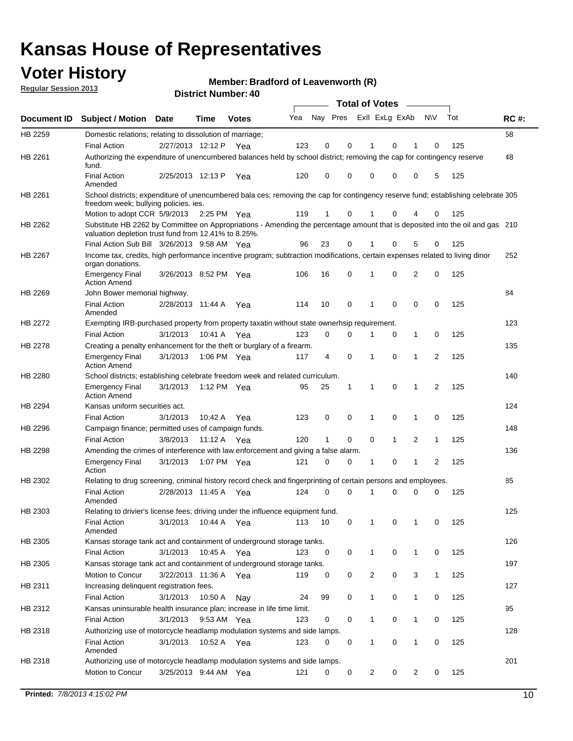## **Voter History**

**Member: Bradford of Leavenworth (R)** 

**Regular Session 2013**

|                    |                                                                                                                                                                                       |                       | טד . וסעווואזו וטווע |              |     |                         |             | <b>Total of Votes</b> |              | $\sim$         |              |     |             |
|--------------------|---------------------------------------------------------------------------------------------------------------------------------------------------------------------------------------|-----------------------|----------------------|--------------|-----|-------------------------|-------------|-----------------------|--------------|----------------|--------------|-----|-------------|
| <b>Document ID</b> | <b>Subject / Motion</b>                                                                                                                                                               | Date                  | Time                 | <b>Votes</b> | Yea | Nay Pres Exll ExLg ExAb |             |                       |              |                | N\V          | Tot | <b>RC#:</b> |
| HB 2259            | Domestic relations; relating to dissolution of marriage;                                                                                                                              |                       |                      |              |     |                         |             |                       |              |                |              |     | 58          |
|                    | <b>Final Action</b>                                                                                                                                                                   | 2/27/2013 12:12 P     |                      | Yea          | 123 | 0                       | 0           | 1                     | 0            | 1              | $\Omega$     | 125 |             |
| HB 2261            | Authorizing the expenditure of unencumbered balances held by school district; removing the cap for contingency reserve<br>fund.                                                       |                       |                      |              |     |                         |             |                       |              |                |              |     | 48          |
|                    | <b>Final Action</b><br>Amended                                                                                                                                                        | 2/25/2013 12:13 P     |                      | Yea          | 120 | 0                       | 0           | 0                     | 0            | 0              | 5            | 125 |             |
| HB 2261            | School districts; expenditure of unencumbered bala ces; removing the cap for contingency reserve fund; establishing celebrate 305<br>freedom week; bullying policies. ies.            |                       |                      |              |     |                         |             |                       |              |                |              |     |             |
|                    | Motion to adopt CCR 5/9/2013                                                                                                                                                          |                       | 2:25 PM Yea          |              | 119 | 1                       | 0           |                       | 0            | 4              | 0            | 125 |             |
| HB 2262            | Substitute HB 2262 by Committee on Appropriations - Amending the percentage amount that is deposited into the oil and gas 210<br>valuation depletion trust fund from 12.41% to 8.25%. |                       |                      |              |     |                         |             |                       |              |                |              |     |             |
|                    | Final Action Sub Bill 3/26/2013 9:58 AM Yea                                                                                                                                           |                       |                      |              | 96  | 23                      | 0           |                       | 0            | 5              | 0            | 125 |             |
| HB 2267            | Income tax, credits, high performance incentive program; subtraction modifications, certain expenses related to living dinor<br>organ donations.                                      |                       |                      |              |     |                         |             |                       |              |                |              |     | 252         |
|                    | <b>Emergency Final</b><br><b>Action Amend</b>                                                                                                                                         | 3/26/2013 8:52 PM Yea |                      |              | 106 | 16                      | 0           | 1                     | 0            | 2              | 0            | 125 |             |
| HB 2269            | John Bower memorial highway.                                                                                                                                                          |                       |                      |              |     |                         |             |                       |              |                |              |     | 84          |
|                    | <b>Final Action</b><br>Amended                                                                                                                                                        | 2/28/2013 11:44 A Yea |                      |              | 114 | 10                      | 0           | 1                     | 0            | 0              | 0            | 125 |             |
| HB 2272            | Exempting IRB-purchased property from property taxatin without state ownerhsip requirement.                                                                                           |                       |                      |              |     |                         |             |                       |              |                |              |     | 123         |
|                    | <b>Final Action</b>                                                                                                                                                                   | 3/1/2013              | 10:41 A Yea          |              | 123 | 0                       | 0           | 1                     | 0            | $\mathbf{1}$   | 0            | 125 |             |
| HB 2278            | Creating a penalty enhancement for the theft or burglary of a firearm.                                                                                                                |                       |                      |              |     |                         |             |                       |              |                |              |     | 135         |
|                    | <b>Emergency Final</b><br><b>Action Amend</b>                                                                                                                                         | 3/1/2013              | 1:06 PM Yea          |              | 117 | 4                       | $\mathbf 0$ | $\mathbf 1$           | $\Omega$     | 1              | 2            | 125 |             |
| HB 2280            | School districts; establishing celebrate freedom week and related curriculum.                                                                                                         |                       |                      |              |     |                         |             |                       |              |                |              |     | 140         |
|                    | <b>Emergency Final</b><br><b>Action Amend</b>                                                                                                                                         | 3/1/2013              | 1:12 PM Yea          |              | 95  | 25                      | 1           | 1                     | 0            | 1              | 2            | 125 |             |
| HB 2294            | Kansas uniform securities act.                                                                                                                                                        |                       |                      |              |     |                         |             |                       |              |                |              |     | 124         |
|                    | <b>Final Action</b>                                                                                                                                                                   | 3/1/2013              | 10:42 A Yea          |              | 123 | 0                       | 0           | 1                     | $\mathbf 0$  | $\mathbf{1}$   | 0            | 125 |             |
| HB 2296            | Campaign finance; permitted uses of campaign funds.                                                                                                                                   |                       |                      |              |     |                         |             |                       |              |                |              |     | 148         |
|                    | <b>Final Action</b>                                                                                                                                                                   | 3/8/2013              | 11:12 A Yea          |              | 120 | $\mathbf{1}$            | 0           | 0                     | $\mathbf{1}$ | $\overline{2}$ | $\mathbf{1}$ | 125 |             |
| HB 2298            | Amending the crimes of interference with law enforcement and giving a false alarm.                                                                                                    |                       |                      |              |     |                         |             |                       |              |                |              |     | 136         |
|                    | <b>Emergency Final</b><br>Action                                                                                                                                                      | 3/1/2013              | 1:07 PM Yea          |              | 121 | 0                       | 0           | 1                     | 0            | $\mathbf{1}$   | 2            | 125 |             |
| HB 2302            | Relating to drug screening, criminal history record check and fingerprinting of certain persons and employees.                                                                        |                       |                      |              |     |                         |             |                       |              |                |              |     | 85          |
|                    | <b>Final Action</b><br>Amended                                                                                                                                                        | 2/28/2013 11:45 A Yea |                      |              | 124 | 0                       | $\Omega$    | 1                     | 0            | 0              | $\mathbf 0$  | 125 |             |
| HB 2303            | Relating to drivier's license fees; driving under the influence equipment fund.                                                                                                       |                       |                      |              |     |                         |             |                       |              |                |              |     | 125         |
|                    | <b>Final Action</b><br>Amended                                                                                                                                                        | 3/1/2013              | 10:44 A              | Yea          | 113 | 10                      | 0           | $\mathbf 1$           | 0            | 1              | 0            | 125 |             |
| HB 2305            | Kansas storage tank act and containment of underground storage tanks.                                                                                                                 |                       |                      |              |     |                         |             |                       |              |                |              |     | 126         |
|                    | <b>Final Action</b>                                                                                                                                                                   | 3/1/2013              | 10:45 A              | Yea          | 123 | 0                       | 0           | 1                     | 0            | 1              | 0            | 125 |             |
| HB 2305            | Kansas storage tank act and containment of underground storage tanks.                                                                                                                 |                       |                      |              |     |                         |             |                       |              |                |              |     | 197         |
|                    | Motion to Concur                                                                                                                                                                      | 3/22/2013 11:36 A     |                      | Yea          | 119 | 0                       | 0           | 2                     | 0            | 3              | $\mathbf{1}$ | 125 |             |
| HB 2311            | Increasing delinquent registration fees.                                                                                                                                              |                       |                      |              |     |                         |             |                       |              |                |              |     | 127         |
|                    | <b>Final Action</b>                                                                                                                                                                   | 3/1/2013              | 10:50 A              | Nay          | 24  | 99                      | 0           | $\mathbf{1}$          | 0            | $\mathbf{1}$   | 0            | 125 |             |
| HB 2312            | Kansas uninsurable health insurance plan; increase in life time limit.                                                                                                                |                       |                      |              |     |                         |             |                       |              |                |              |     | 95          |
|                    | <b>Final Action</b>                                                                                                                                                                   | 3/1/2013              | 9:53 AM Yea          |              | 123 | 0                       | 0           | 1                     | 0            | 1              | 0            | 125 |             |
| HB 2318            | Authorizing use of motorcycle headlamp modulation systems and side lamps.                                                                                                             |                       |                      |              |     |                         |             |                       |              |                |              |     | 128         |
|                    | <b>Final Action</b><br>Amended                                                                                                                                                        | 3/1/2013              | 10:52 A Yea          |              | 123 | 0                       | 0           | 1                     | 0            | 1              | 0            | 125 |             |
| HB 2318            | Authorizing use of motorcycle headlamp modulation systems and side lamps.                                                                                                             |                       |                      |              |     |                         |             |                       |              |                |              |     | 201         |
|                    | Motion to Concur                                                                                                                                                                      | 3/25/2013 9:44 AM Yea |                      |              | 121 | 0                       | 0           | 2                     | 0            | 2              | 0            | 125 |             |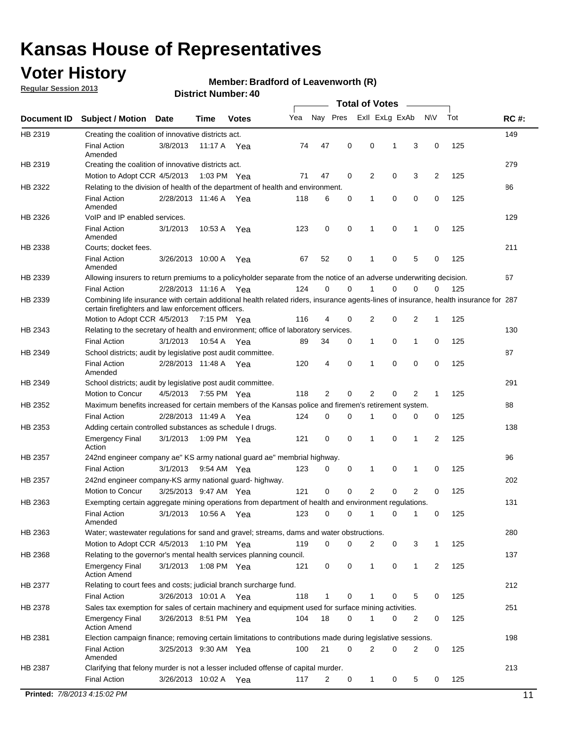## **Voter History**

**Regular Session 2013**

### **Member: Bradford of Leavenworth (R)**

| Nay Pres<br>Exll ExLg ExAb<br>Yea<br>N\V<br>Tot<br><b>Subject / Motion</b><br>Document ID<br><b>Date</b><br>Time<br><b>Votes</b><br>HB 2319<br>Creating the coalition of innovative districts act.<br>47<br>0<br>3<br>0<br>125<br><b>Final Action</b><br>3/8/2013<br>74<br>0<br>1<br>11:17 A Yea<br>Amended<br>HB 2319<br>Creating the coalition of innovative districts act.<br>47<br>0<br>0<br>3<br>2<br>125<br>Motion to Adopt CCR 4/5/2013<br>71<br>2<br>1:03 PM Yea<br>HB 2322<br>Relating to the division of health of the department of health and environment.<br>0<br>0<br>0<br>0<br>125<br><b>Final Action</b><br>2/28/2013 11:46 A Yea<br>118<br>6<br>1<br>Amended<br>VoIP and IP enabled services.<br>HB 2326<br>$\mathbf 0$<br>$\mathbf 0$<br>123<br>$\mathbf 0$<br>1<br>$\mathbf 0$<br>125<br><b>Final Action</b><br>3/1/2013<br>10:53 A<br>1<br>Yea<br>Amended<br>HB 2338<br>Courts; docket fees.<br><b>Final Action</b><br>125<br>3/26/2013 10:00 A<br>67<br>52<br>0<br>1<br>0<br>5<br>0<br>Yea<br>Amended<br>HB 2339<br>Allowing insurers to return premiums to a policyholder separate from the notice of an adverse underwriting decision.<br>2/28/2013 11:16 A Yea<br>124<br>0<br>0<br>1<br>0<br>0<br>125<br><b>Final Action</b><br>0<br>HB 2339<br>Combining life insurance with certain additional health related riders, insurance agents-lines of insurance, health insurance for 287<br>certain firefighters and law enforcement officers.<br>2<br>125<br>Motion to Adopt CCR 4/5/2013 7:15 PM Yea<br>116<br>4<br>0<br>2<br>0<br>1<br>HB 2343<br>Relating to the secretary of health and environment; office of laboratory services.<br><b>Final Action</b><br>0<br>0<br>125<br>3/1/2013<br>10:54 A Yea<br>89<br>34<br>0<br>1<br>1<br>HB 2349<br>School districts; audit by legislative post audit committee.<br>$\mathbf 0$<br>0<br>$\mathbf 0$<br>0<br>125<br><b>Final Action</b><br>2/28/2013 11:48 A Yea<br>120<br>4<br>1<br>Amended<br>HB 2349<br>School districts; audit by legislative post audit committee.<br>Motion to Concur<br>4/5/2013<br>7:55 PM Yea<br>118<br>2<br>0<br>2<br>0<br>2<br>125<br>1<br>HB 2352<br>Maximum benefits increased for certain members of the Kansas police and firemen's retirement system.<br><b>Final Action</b><br>2/28/2013 11:49 A<br>$\mathbf 0$<br>125<br>124<br>0<br>1<br>0<br>0<br>0<br>Yea<br>HB 2353<br>Adding certain controlled substances as schedule I drugs.<br>121<br>0<br>$\mathbf 0$<br>0<br>1<br>2<br>125<br><b>Emergency Final</b><br>3/1/2013<br>1:09 PM Yea<br>1<br>Action<br>HB 2357<br>242nd engineer company ae" KS army national guard ae" membrial highway.<br>3/1/2013<br>123<br>0<br>0<br>0<br>125<br><b>Final Action</b><br>9:54 AM Yea<br>0<br>1<br>1<br>HB 2357<br>242nd engineer company-KS army national guard-highway.<br>$\mathbf 0$<br>$\mathbf 0$<br>2<br>0<br>$\overline{2}$<br>3/25/2013 9:47 AM Yea<br>121<br>0<br>125<br>Motion to Concur | <b>RC#:</b><br>149<br>279<br>86<br>129<br>211<br>67 |
|-----------------------------------------------------------------------------------------------------------------------------------------------------------------------------------------------------------------------------------------------------------------------------------------------------------------------------------------------------------------------------------------------------------------------------------------------------------------------------------------------------------------------------------------------------------------------------------------------------------------------------------------------------------------------------------------------------------------------------------------------------------------------------------------------------------------------------------------------------------------------------------------------------------------------------------------------------------------------------------------------------------------------------------------------------------------------------------------------------------------------------------------------------------------------------------------------------------------------------------------------------------------------------------------------------------------------------------------------------------------------------------------------------------------------------------------------------------------------------------------------------------------------------------------------------------------------------------------------------------------------------------------------------------------------------------------------------------------------------------------------------------------------------------------------------------------------------------------------------------------------------------------------------------------------------------------------------------------------------------------------------------------------------------------------------------------------------------------------------------------------------------------------------------------------------------------------------------------------------------------------------------------------------------------------------------------------------------------------------------------------------------------------------------------------------------------------------------------------------------------------------------------------------------------------------------------------------------------------------------------------------------------------------------------------------------------------------------------------------------------------------------------------------------------------------------------------------------------------------------------------------------------------------------------------------------------------------|-----------------------------------------------------|
|                                                                                                                                                                                                                                                                                                                                                                                                                                                                                                                                                                                                                                                                                                                                                                                                                                                                                                                                                                                                                                                                                                                                                                                                                                                                                                                                                                                                                                                                                                                                                                                                                                                                                                                                                                                                                                                                                                                                                                                                                                                                                                                                                                                                                                                                                                                                                                                                                                                                                                                                                                                                                                                                                                                                                                                                                                                                                                                                                     |                                                     |
|                                                                                                                                                                                                                                                                                                                                                                                                                                                                                                                                                                                                                                                                                                                                                                                                                                                                                                                                                                                                                                                                                                                                                                                                                                                                                                                                                                                                                                                                                                                                                                                                                                                                                                                                                                                                                                                                                                                                                                                                                                                                                                                                                                                                                                                                                                                                                                                                                                                                                                                                                                                                                                                                                                                                                                                                                                                                                                                                                     |                                                     |
|                                                                                                                                                                                                                                                                                                                                                                                                                                                                                                                                                                                                                                                                                                                                                                                                                                                                                                                                                                                                                                                                                                                                                                                                                                                                                                                                                                                                                                                                                                                                                                                                                                                                                                                                                                                                                                                                                                                                                                                                                                                                                                                                                                                                                                                                                                                                                                                                                                                                                                                                                                                                                                                                                                                                                                                                                                                                                                                                                     |                                                     |
|                                                                                                                                                                                                                                                                                                                                                                                                                                                                                                                                                                                                                                                                                                                                                                                                                                                                                                                                                                                                                                                                                                                                                                                                                                                                                                                                                                                                                                                                                                                                                                                                                                                                                                                                                                                                                                                                                                                                                                                                                                                                                                                                                                                                                                                                                                                                                                                                                                                                                                                                                                                                                                                                                                                                                                                                                                                                                                                                                     |                                                     |
|                                                                                                                                                                                                                                                                                                                                                                                                                                                                                                                                                                                                                                                                                                                                                                                                                                                                                                                                                                                                                                                                                                                                                                                                                                                                                                                                                                                                                                                                                                                                                                                                                                                                                                                                                                                                                                                                                                                                                                                                                                                                                                                                                                                                                                                                                                                                                                                                                                                                                                                                                                                                                                                                                                                                                                                                                                                                                                                                                     |                                                     |
|                                                                                                                                                                                                                                                                                                                                                                                                                                                                                                                                                                                                                                                                                                                                                                                                                                                                                                                                                                                                                                                                                                                                                                                                                                                                                                                                                                                                                                                                                                                                                                                                                                                                                                                                                                                                                                                                                                                                                                                                                                                                                                                                                                                                                                                                                                                                                                                                                                                                                                                                                                                                                                                                                                                                                                                                                                                                                                                                                     |                                                     |
|                                                                                                                                                                                                                                                                                                                                                                                                                                                                                                                                                                                                                                                                                                                                                                                                                                                                                                                                                                                                                                                                                                                                                                                                                                                                                                                                                                                                                                                                                                                                                                                                                                                                                                                                                                                                                                                                                                                                                                                                                                                                                                                                                                                                                                                                                                                                                                                                                                                                                                                                                                                                                                                                                                                                                                                                                                                                                                                                                     |                                                     |
|                                                                                                                                                                                                                                                                                                                                                                                                                                                                                                                                                                                                                                                                                                                                                                                                                                                                                                                                                                                                                                                                                                                                                                                                                                                                                                                                                                                                                                                                                                                                                                                                                                                                                                                                                                                                                                                                                                                                                                                                                                                                                                                                                                                                                                                                                                                                                                                                                                                                                                                                                                                                                                                                                                                                                                                                                                                                                                                                                     |                                                     |
|                                                                                                                                                                                                                                                                                                                                                                                                                                                                                                                                                                                                                                                                                                                                                                                                                                                                                                                                                                                                                                                                                                                                                                                                                                                                                                                                                                                                                                                                                                                                                                                                                                                                                                                                                                                                                                                                                                                                                                                                                                                                                                                                                                                                                                                                                                                                                                                                                                                                                                                                                                                                                                                                                                                                                                                                                                                                                                                                                     |                                                     |
|                                                                                                                                                                                                                                                                                                                                                                                                                                                                                                                                                                                                                                                                                                                                                                                                                                                                                                                                                                                                                                                                                                                                                                                                                                                                                                                                                                                                                                                                                                                                                                                                                                                                                                                                                                                                                                                                                                                                                                                                                                                                                                                                                                                                                                                                                                                                                                                                                                                                                                                                                                                                                                                                                                                                                                                                                                                                                                                                                     |                                                     |
|                                                                                                                                                                                                                                                                                                                                                                                                                                                                                                                                                                                                                                                                                                                                                                                                                                                                                                                                                                                                                                                                                                                                                                                                                                                                                                                                                                                                                                                                                                                                                                                                                                                                                                                                                                                                                                                                                                                                                                                                                                                                                                                                                                                                                                                                                                                                                                                                                                                                                                                                                                                                                                                                                                                                                                                                                                                                                                                                                     |                                                     |
|                                                                                                                                                                                                                                                                                                                                                                                                                                                                                                                                                                                                                                                                                                                                                                                                                                                                                                                                                                                                                                                                                                                                                                                                                                                                                                                                                                                                                                                                                                                                                                                                                                                                                                                                                                                                                                                                                                                                                                                                                                                                                                                                                                                                                                                                                                                                                                                                                                                                                                                                                                                                                                                                                                                                                                                                                                                                                                                                                     |                                                     |
|                                                                                                                                                                                                                                                                                                                                                                                                                                                                                                                                                                                                                                                                                                                                                                                                                                                                                                                                                                                                                                                                                                                                                                                                                                                                                                                                                                                                                                                                                                                                                                                                                                                                                                                                                                                                                                                                                                                                                                                                                                                                                                                                                                                                                                                                                                                                                                                                                                                                                                                                                                                                                                                                                                                                                                                                                                                                                                                                                     |                                                     |
|                                                                                                                                                                                                                                                                                                                                                                                                                                                                                                                                                                                                                                                                                                                                                                                                                                                                                                                                                                                                                                                                                                                                                                                                                                                                                                                                                                                                                                                                                                                                                                                                                                                                                                                                                                                                                                                                                                                                                                                                                                                                                                                                                                                                                                                                                                                                                                                                                                                                                                                                                                                                                                                                                                                                                                                                                                                                                                                                                     |                                                     |
|                                                                                                                                                                                                                                                                                                                                                                                                                                                                                                                                                                                                                                                                                                                                                                                                                                                                                                                                                                                                                                                                                                                                                                                                                                                                                                                                                                                                                                                                                                                                                                                                                                                                                                                                                                                                                                                                                                                                                                                                                                                                                                                                                                                                                                                                                                                                                                                                                                                                                                                                                                                                                                                                                                                                                                                                                                                                                                                                                     |                                                     |
|                                                                                                                                                                                                                                                                                                                                                                                                                                                                                                                                                                                                                                                                                                                                                                                                                                                                                                                                                                                                                                                                                                                                                                                                                                                                                                                                                                                                                                                                                                                                                                                                                                                                                                                                                                                                                                                                                                                                                                                                                                                                                                                                                                                                                                                                                                                                                                                                                                                                                                                                                                                                                                                                                                                                                                                                                                                                                                                                                     | 130                                                 |
|                                                                                                                                                                                                                                                                                                                                                                                                                                                                                                                                                                                                                                                                                                                                                                                                                                                                                                                                                                                                                                                                                                                                                                                                                                                                                                                                                                                                                                                                                                                                                                                                                                                                                                                                                                                                                                                                                                                                                                                                                                                                                                                                                                                                                                                                                                                                                                                                                                                                                                                                                                                                                                                                                                                                                                                                                                                                                                                                                     |                                                     |
|                                                                                                                                                                                                                                                                                                                                                                                                                                                                                                                                                                                                                                                                                                                                                                                                                                                                                                                                                                                                                                                                                                                                                                                                                                                                                                                                                                                                                                                                                                                                                                                                                                                                                                                                                                                                                                                                                                                                                                                                                                                                                                                                                                                                                                                                                                                                                                                                                                                                                                                                                                                                                                                                                                                                                                                                                                                                                                                                                     | 87                                                  |
|                                                                                                                                                                                                                                                                                                                                                                                                                                                                                                                                                                                                                                                                                                                                                                                                                                                                                                                                                                                                                                                                                                                                                                                                                                                                                                                                                                                                                                                                                                                                                                                                                                                                                                                                                                                                                                                                                                                                                                                                                                                                                                                                                                                                                                                                                                                                                                                                                                                                                                                                                                                                                                                                                                                                                                                                                                                                                                                                                     |                                                     |
|                                                                                                                                                                                                                                                                                                                                                                                                                                                                                                                                                                                                                                                                                                                                                                                                                                                                                                                                                                                                                                                                                                                                                                                                                                                                                                                                                                                                                                                                                                                                                                                                                                                                                                                                                                                                                                                                                                                                                                                                                                                                                                                                                                                                                                                                                                                                                                                                                                                                                                                                                                                                                                                                                                                                                                                                                                                                                                                                                     | 291                                                 |
|                                                                                                                                                                                                                                                                                                                                                                                                                                                                                                                                                                                                                                                                                                                                                                                                                                                                                                                                                                                                                                                                                                                                                                                                                                                                                                                                                                                                                                                                                                                                                                                                                                                                                                                                                                                                                                                                                                                                                                                                                                                                                                                                                                                                                                                                                                                                                                                                                                                                                                                                                                                                                                                                                                                                                                                                                                                                                                                                                     |                                                     |
|                                                                                                                                                                                                                                                                                                                                                                                                                                                                                                                                                                                                                                                                                                                                                                                                                                                                                                                                                                                                                                                                                                                                                                                                                                                                                                                                                                                                                                                                                                                                                                                                                                                                                                                                                                                                                                                                                                                                                                                                                                                                                                                                                                                                                                                                                                                                                                                                                                                                                                                                                                                                                                                                                                                                                                                                                                                                                                                                                     | 88                                                  |
|                                                                                                                                                                                                                                                                                                                                                                                                                                                                                                                                                                                                                                                                                                                                                                                                                                                                                                                                                                                                                                                                                                                                                                                                                                                                                                                                                                                                                                                                                                                                                                                                                                                                                                                                                                                                                                                                                                                                                                                                                                                                                                                                                                                                                                                                                                                                                                                                                                                                                                                                                                                                                                                                                                                                                                                                                                                                                                                                                     |                                                     |
|                                                                                                                                                                                                                                                                                                                                                                                                                                                                                                                                                                                                                                                                                                                                                                                                                                                                                                                                                                                                                                                                                                                                                                                                                                                                                                                                                                                                                                                                                                                                                                                                                                                                                                                                                                                                                                                                                                                                                                                                                                                                                                                                                                                                                                                                                                                                                                                                                                                                                                                                                                                                                                                                                                                                                                                                                                                                                                                                                     | 138                                                 |
|                                                                                                                                                                                                                                                                                                                                                                                                                                                                                                                                                                                                                                                                                                                                                                                                                                                                                                                                                                                                                                                                                                                                                                                                                                                                                                                                                                                                                                                                                                                                                                                                                                                                                                                                                                                                                                                                                                                                                                                                                                                                                                                                                                                                                                                                                                                                                                                                                                                                                                                                                                                                                                                                                                                                                                                                                                                                                                                                                     |                                                     |
|                                                                                                                                                                                                                                                                                                                                                                                                                                                                                                                                                                                                                                                                                                                                                                                                                                                                                                                                                                                                                                                                                                                                                                                                                                                                                                                                                                                                                                                                                                                                                                                                                                                                                                                                                                                                                                                                                                                                                                                                                                                                                                                                                                                                                                                                                                                                                                                                                                                                                                                                                                                                                                                                                                                                                                                                                                                                                                                                                     | 96                                                  |
|                                                                                                                                                                                                                                                                                                                                                                                                                                                                                                                                                                                                                                                                                                                                                                                                                                                                                                                                                                                                                                                                                                                                                                                                                                                                                                                                                                                                                                                                                                                                                                                                                                                                                                                                                                                                                                                                                                                                                                                                                                                                                                                                                                                                                                                                                                                                                                                                                                                                                                                                                                                                                                                                                                                                                                                                                                                                                                                                                     |                                                     |
|                                                                                                                                                                                                                                                                                                                                                                                                                                                                                                                                                                                                                                                                                                                                                                                                                                                                                                                                                                                                                                                                                                                                                                                                                                                                                                                                                                                                                                                                                                                                                                                                                                                                                                                                                                                                                                                                                                                                                                                                                                                                                                                                                                                                                                                                                                                                                                                                                                                                                                                                                                                                                                                                                                                                                                                                                                                                                                                                                     | 202                                                 |
|                                                                                                                                                                                                                                                                                                                                                                                                                                                                                                                                                                                                                                                                                                                                                                                                                                                                                                                                                                                                                                                                                                                                                                                                                                                                                                                                                                                                                                                                                                                                                                                                                                                                                                                                                                                                                                                                                                                                                                                                                                                                                                                                                                                                                                                                                                                                                                                                                                                                                                                                                                                                                                                                                                                                                                                                                                                                                                                                                     |                                                     |
| HB 2363<br>Exempting certain aggregate mining operations from department of health and environment regulations.                                                                                                                                                                                                                                                                                                                                                                                                                                                                                                                                                                                                                                                                                                                                                                                                                                                                                                                                                                                                                                                                                                                                                                                                                                                                                                                                                                                                                                                                                                                                                                                                                                                                                                                                                                                                                                                                                                                                                                                                                                                                                                                                                                                                                                                                                                                                                                                                                                                                                                                                                                                                                                                                                                                                                                                                                                     | 131                                                 |
| 3/1/2013<br>10:56 A Yea<br>123<br>125<br><b>Final Action</b><br>0<br>0<br>1<br>0<br>1<br>0<br>Amended                                                                                                                                                                                                                                                                                                                                                                                                                                                                                                                                                                                                                                                                                                                                                                                                                                                                                                                                                                                                                                                                                                                                                                                                                                                                                                                                                                                                                                                                                                                                                                                                                                                                                                                                                                                                                                                                                                                                                                                                                                                                                                                                                                                                                                                                                                                                                                                                                                                                                                                                                                                                                                                                                                                                                                                                                                               |                                                     |
| HB 2363<br>Water; wastewater regulations for sand and gravel; streams, dams and water obstructions.                                                                                                                                                                                                                                                                                                                                                                                                                                                                                                                                                                                                                                                                                                                                                                                                                                                                                                                                                                                                                                                                                                                                                                                                                                                                                                                                                                                                                                                                                                                                                                                                                                                                                                                                                                                                                                                                                                                                                                                                                                                                                                                                                                                                                                                                                                                                                                                                                                                                                                                                                                                                                                                                                                                                                                                                                                                 | 280                                                 |
| Motion to Adopt CCR 4/5/2013<br>119<br>0<br>0<br>3<br>125<br>1:10 PM Yea<br>2<br>0<br>1                                                                                                                                                                                                                                                                                                                                                                                                                                                                                                                                                                                                                                                                                                                                                                                                                                                                                                                                                                                                                                                                                                                                                                                                                                                                                                                                                                                                                                                                                                                                                                                                                                                                                                                                                                                                                                                                                                                                                                                                                                                                                                                                                                                                                                                                                                                                                                                                                                                                                                                                                                                                                                                                                                                                                                                                                                                             |                                                     |
| HB 2368<br>Relating to the governor's mental health services planning council.                                                                                                                                                                                                                                                                                                                                                                                                                                                                                                                                                                                                                                                                                                                                                                                                                                                                                                                                                                                                                                                                                                                                                                                                                                                                                                                                                                                                                                                                                                                                                                                                                                                                                                                                                                                                                                                                                                                                                                                                                                                                                                                                                                                                                                                                                                                                                                                                                                                                                                                                                                                                                                                                                                                                                                                                                                                                      | 137                                                 |
| 0<br>0<br><b>Emergency Final</b><br>3/1/2013<br>1:08 PM Yea<br>0<br>1<br>1<br>2<br>125<br>121<br><b>Action Amend</b>                                                                                                                                                                                                                                                                                                                                                                                                                                                                                                                                                                                                                                                                                                                                                                                                                                                                                                                                                                                                                                                                                                                                                                                                                                                                                                                                                                                                                                                                                                                                                                                                                                                                                                                                                                                                                                                                                                                                                                                                                                                                                                                                                                                                                                                                                                                                                                                                                                                                                                                                                                                                                                                                                                                                                                                                                                |                                                     |
| HB 2377<br>Relating to court fees and costs; judicial branch surcharge fund.                                                                                                                                                                                                                                                                                                                                                                                                                                                                                                                                                                                                                                                                                                                                                                                                                                                                                                                                                                                                                                                                                                                                                                                                                                                                                                                                                                                                                                                                                                                                                                                                                                                                                                                                                                                                                                                                                                                                                                                                                                                                                                                                                                                                                                                                                                                                                                                                                                                                                                                                                                                                                                                                                                                                                                                                                                                                        | 212                                                 |
| 3/26/2013 10:01 A Yea<br>118<br>5<br>125<br>Final Action<br>1<br>0<br>0<br>0<br>1                                                                                                                                                                                                                                                                                                                                                                                                                                                                                                                                                                                                                                                                                                                                                                                                                                                                                                                                                                                                                                                                                                                                                                                                                                                                                                                                                                                                                                                                                                                                                                                                                                                                                                                                                                                                                                                                                                                                                                                                                                                                                                                                                                                                                                                                                                                                                                                                                                                                                                                                                                                                                                                                                                                                                                                                                                                                   |                                                     |
| Sales tax exemption for sales of certain machinery and equipment used for surface mining activities.<br>HB 2378                                                                                                                                                                                                                                                                                                                                                                                                                                                                                                                                                                                                                                                                                                                                                                                                                                                                                                                                                                                                                                                                                                                                                                                                                                                                                                                                                                                                                                                                                                                                                                                                                                                                                                                                                                                                                                                                                                                                                                                                                                                                                                                                                                                                                                                                                                                                                                                                                                                                                                                                                                                                                                                                                                                                                                                                                                     | 251                                                 |
| 18<br>0<br>1<br>0<br>125<br><b>Emergency Final</b><br>3/26/2013 8:51 PM Yea<br>104<br>0<br>2<br><b>Action Amend</b>                                                                                                                                                                                                                                                                                                                                                                                                                                                                                                                                                                                                                                                                                                                                                                                                                                                                                                                                                                                                                                                                                                                                                                                                                                                                                                                                                                                                                                                                                                                                                                                                                                                                                                                                                                                                                                                                                                                                                                                                                                                                                                                                                                                                                                                                                                                                                                                                                                                                                                                                                                                                                                                                                                                                                                                                                                 |                                                     |
| HB 2381<br>Election campaign finance; removing certain limitations to contributions made during legislative sessions.                                                                                                                                                                                                                                                                                                                                                                                                                                                                                                                                                                                                                                                                                                                                                                                                                                                                                                                                                                                                                                                                                                                                                                                                                                                                                                                                                                                                                                                                                                                                                                                                                                                                                                                                                                                                                                                                                                                                                                                                                                                                                                                                                                                                                                                                                                                                                                                                                                                                                                                                                                                                                                                                                                                                                                                                                               | 198                                                 |
| <b>Final Action</b><br>21<br>$\mathbf 0$<br>2<br>0<br>2<br>$\mathbf 0$<br>3/25/2013 9:30 AM Yea<br>100<br>125<br>Amended                                                                                                                                                                                                                                                                                                                                                                                                                                                                                                                                                                                                                                                                                                                                                                                                                                                                                                                                                                                                                                                                                                                                                                                                                                                                                                                                                                                                                                                                                                                                                                                                                                                                                                                                                                                                                                                                                                                                                                                                                                                                                                                                                                                                                                                                                                                                                                                                                                                                                                                                                                                                                                                                                                                                                                                                                            |                                                     |
| HB 2387<br>Clarifying that felony murder is not a lesser included offense of capital murder.                                                                                                                                                                                                                                                                                                                                                                                                                                                                                                                                                                                                                                                                                                                                                                                                                                                                                                                                                                                                                                                                                                                                                                                                                                                                                                                                                                                                                                                                                                                                                                                                                                                                                                                                                                                                                                                                                                                                                                                                                                                                                                                                                                                                                                                                                                                                                                                                                                                                                                                                                                                                                                                                                                                                                                                                                                                        | 213                                                 |
| <b>Final Action</b><br>125<br>3/26/2013 10:02 A Yea<br>117<br>2<br>0<br>1<br>0<br>5<br>0                                                                                                                                                                                                                                                                                                                                                                                                                                                                                                                                                                                                                                                                                                                                                                                                                                                                                                                                                                                                                                                                                                                                                                                                                                                                                                                                                                                                                                                                                                                                                                                                                                                                                                                                                                                                                                                                                                                                                                                                                                                                                                                                                                                                                                                                                                                                                                                                                                                                                                                                                                                                                                                                                                                                                                                                                                                            |                                                     |
| Printed: 7/8/2013 4:15:02 PM                                                                                                                                                                                                                                                                                                                                                                                                                                                                                                                                                                                                                                                                                                                                                                                                                                                                                                                                                                                                                                                                                                                                                                                                                                                                                                                                                                                                                                                                                                                                                                                                                                                                                                                                                                                                                                                                                                                                                                                                                                                                                                                                                                                                                                                                                                                                                                                                                                                                                                                                                                                                                                                                                                                                                                                                                                                                                                                        | 11                                                  |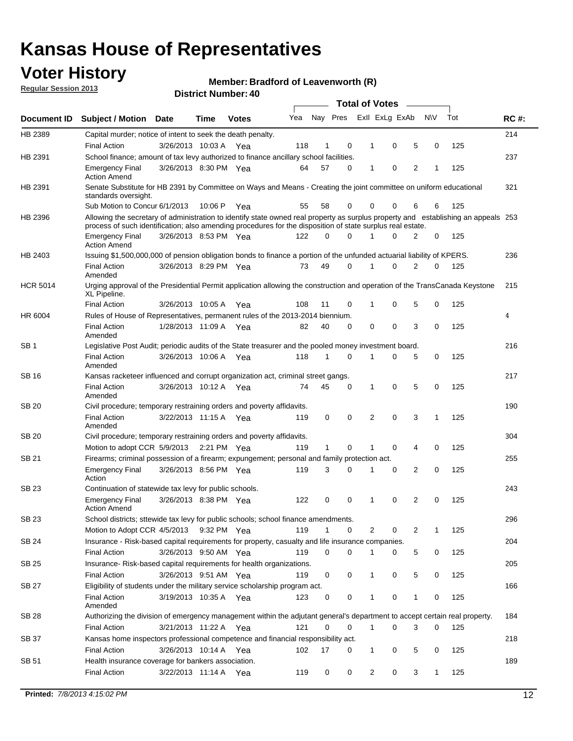## **Voter History**

**Member: Bradford of Leavenworth (R)** 

**Regular Session 2013**

|                 |                                                                                                                                                                                                                                                  |                       |             |              |     |              |          | <b>Total of Votes</b> |   |   |              |     |             |
|-----------------|--------------------------------------------------------------------------------------------------------------------------------------------------------------------------------------------------------------------------------------------------|-----------------------|-------------|--------------|-----|--------------|----------|-----------------------|---|---|--------------|-----|-------------|
| Document ID     | Subject / Motion Date                                                                                                                                                                                                                            |                       | Time        | <b>Votes</b> | Yea | Nay Pres     |          | Exll ExLg ExAb        |   |   | <b>NV</b>    | Tot | <b>RC#:</b> |
| HB 2389         | Capital murder; notice of intent to seek the death penalty.                                                                                                                                                                                      |                       |             |              |     |              |          |                       |   |   |              |     | 214         |
|                 | <b>Final Action</b>                                                                                                                                                                                                                              | 3/26/2013 10:03 A     |             | Yea          | 118 | 1            | 0        | 1                     | 0 | 5 | 0            | 125 |             |
| HB 2391         | School finance; amount of tax levy authorized to finance ancillary school facilities.                                                                                                                                                            |                       |             |              |     |              |          |                       |   |   |              |     | 237         |
|                 | <b>Emergency Final</b><br><b>Action Amend</b>                                                                                                                                                                                                    | 3/26/2013 8:30 PM Yea |             |              | 64  | 57           | 0        | 1                     | 0 | 2 | 1            | 125 |             |
| HB 2391         | Senate Substitute for HB 2391 by Committee on Ways and Means - Creating the joint committee on uniform educational<br>standards oversight.                                                                                                       |                       |             |              |     |              |          |                       |   |   |              |     | 321         |
|                 | Sub Motion to Concur 6/1/2013                                                                                                                                                                                                                    |                       | 10:06 P     | Yea          | 55  | 58           | 0        | 0                     | 0 | 6 | 6            | 125 |             |
| HB 2396         | Allowing the secretary of administration to identify state owned real property as surplus property and establishing an appeals 253<br>process of such identification; also amending procedures for the disposition of state surplus real estate. |                       |             |              |     |              |          |                       |   |   |              |     |             |
|                 | <b>Emergency Final</b><br>Action Amend                                                                                                                                                                                                           | 3/26/2013 8:53 PM Yea |             |              | 122 | 0            | 0        |                       | 0 | 2 | 0            | 125 |             |
| HB 2403         | Issuing \$1,500,000,000 of pension obligation bonds to finance a portion of the unfunded actuarial liability of KPERS.                                                                                                                           |                       |             |              |     |              |          |                       |   |   |              |     | 236         |
|                 | <b>Final Action</b><br>Amended                                                                                                                                                                                                                   | 3/26/2013 8:29 PM Yea |             |              | 73  | 49           | 0        | 1                     | 0 | 2 | 0            | 125 |             |
| <b>HCR 5014</b> | Urging approval of the Presidential Permit application allowing the construction and operation of the TransCanada Keystone<br>XL Pipeline.                                                                                                       |                       |             |              |     |              |          |                       |   |   |              |     | 215         |
|                 | <b>Final Action</b>                                                                                                                                                                                                                              | 3/26/2013 10:05 A     |             | Yea          | 108 | 11           | 0        |                       | 0 | 5 | 0            | 125 |             |
| HR 6004         | Rules of House of Representatives, permanent rules of the 2013-2014 biennium.                                                                                                                                                                    |                       |             |              |     |              |          |                       |   |   |              |     | 4           |
|                 | <b>Final Action</b><br>Amended                                                                                                                                                                                                                   | 1/28/2013 11:09 A     |             | Yea          | 82  | 40           | 0        | 0                     | 0 | 3 | 0            | 125 |             |
| SB 1            | Legislative Post Audit; periodic audits of the State treasurer and the pooled money investment board.                                                                                                                                            |                       |             |              |     |              |          |                       |   |   |              |     | 216         |
|                 | <b>Final Action</b><br>Amended                                                                                                                                                                                                                   | 3/26/2013 10:06 A     |             | Yea          | 118 | 1            | 0        | 1                     | 0 | 5 | 0            | 125 |             |
| SB 16           | Kansas racketeer influenced and corrupt organization act, criminal street gangs.                                                                                                                                                                 |                       |             |              |     |              |          |                       |   |   |              |     | 217         |
|                 | <b>Final Action</b><br>Amended                                                                                                                                                                                                                   | 3/26/2013 10:12 A Yea |             |              | 74  | 45           | 0        | 1                     | 0 | 5 | 0            | 125 |             |
| SB 20           | Civil procedure; temporary restraining orders and poverty affidavits.                                                                                                                                                                            |                       |             |              |     |              |          |                       |   |   |              |     | 190         |
|                 | <b>Final Action</b><br>Amended                                                                                                                                                                                                                   | 3/22/2013 11:15 A     |             | Yea          | 119 | 0            | 0        | 2                     | 0 | 3 | 1            | 125 |             |
| SB 20           | Civil procedure; temporary restraining orders and poverty affidavits.                                                                                                                                                                            |                       |             |              |     |              |          |                       |   |   |              |     | 304         |
|                 | Motion to adopt CCR 5/9/2013                                                                                                                                                                                                                     |                       | 2:21 PM Yea |              | 119 | $\mathbf{1}$ | 0        | 1                     | 0 | 4 | 0            | 125 |             |
| SB 21           | Firearms; criminal possession of a firearm; expungement; personal and family protection act.                                                                                                                                                     |                       |             |              |     |              |          |                       |   |   |              |     | 255         |
|                 | <b>Emergency Final</b><br>Action                                                                                                                                                                                                                 | 3/26/2013 8:56 PM Yea |             |              | 119 | 3            | 0        |                       | 0 | 2 | 0            | 125 |             |
| SB 23           | Continuation of statewide tax levy for public schools.                                                                                                                                                                                           |                       |             |              |     |              |          |                       |   |   |              |     | 243         |
|                 | <b>Emergency Final</b><br><b>Action Amend</b>                                                                                                                                                                                                    | 3/26/2013 8:38 PM Yea |             |              | 122 | 0            | 0        | 1                     | 0 | 2 | 0            | 125 |             |
| <b>SB 23</b>    | School districts; sttewide tax levy for public schools; school finance amendments.                                                                                                                                                               |                       |             |              |     |              |          |                       |   |   |              |     | 296         |
|                 | Motion to Adopt CCR 4/5/2013 9:32 PM Yea                                                                                                                                                                                                         |                       |             |              | 119 | 1            | 0        | 2                     | 0 | 2 | 1            | 125 |             |
| <b>SB 24</b>    | Insurance - Risk-based capital requirements for property, casualty and life insurance companies.                                                                                                                                                 |                       |             |              |     |              |          |                       |   |   |              |     | 204         |
|                 | <b>Final Action</b>                                                                                                                                                                                                                              | 3/26/2013 9:50 AM Yea |             |              | 119 | 0            | 0        |                       | 0 | 5 | 0            | 125 |             |
| SB 25           | Insurance-Risk-based capital requirements for health organizations.                                                                                                                                                                              |                       |             |              |     |              |          |                       |   |   |              |     | 205         |
|                 | <b>Final Action</b>                                                                                                                                                                                                                              | 3/26/2013 9:51 AM Yea |             |              | 119 | 0            | 0        | 1                     | 0 | 5 | 0            | 125 |             |
| SB 27           | Eligibility of students under the military service scholarship program act.                                                                                                                                                                      |                       |             |              |     |              |          |                       |   |   |              |     | 166         |
|                 | <b>Final Action</b><br>Amended                                                                                                                                                                                                                   | 3/19/2013 10:35 A Yea |             |              | 123 | 0            | 0        |                       | 0 | 1 | 0            | 125 |             |
| SB 28           | Authorizing the division of emergency management within the adjutant general's department to accept certain real property.                                                                                                                       |                       |             |              |     |              |          |                       |   |   |              |     | 184         |
|                 | <b>Final Action</b>                                                                                                                                                                                                                              | 3/21/2013 11:22 A Yea |             |              | 121 | 0            | $\Omega$ | 1                     | 0 | 3 | $\Omega$     | 125 |             |
| SB 37           | Kansas home inspectors professional competence and financial responsibility act.                                                                                                                                                                 |                       |             |              |     |              |          |                       |   |   |              |     | 218         |
|                 | <b>Final Action</b>                                                                                                                                                                                                                              | 3/26/2013 10:14 A Yea |             |              | 102 | 17           | 0        | 1                     | 0 | 5 | 0            | 125 |             |
| SB 51           | Health insurance coverage for bankers association.                                                                                                                                                                                               |                       |             |              |     |              |          |                       |   |   |              |     | 189         |
|                 | <b>Final Action</b>                                                                                                                                                                                                                              | 3/22/2013 11:14 A Yea |             |              | 119 | 0            | 0        | 2                     | 0 | 3 | $\mathbf{1}$ | 125 |             |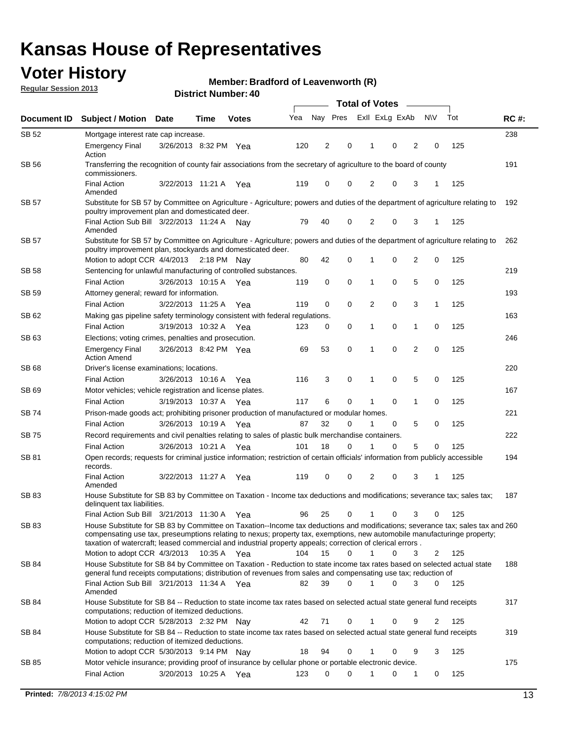## **Voter History**

**Member: Bradford of Leavenworth (R)** 

**Regular Session 2013**

|              |                                                                                                                                                                                                                                            |                       |             |              |     | <b>Total of Votes</b> |             |              |                |                |             |     |             |  |
|--------------|--------------------------------------------------------------------------------------------------------------------------------------------------------------------------------------------------------------------------------------------|-----------------------|-------------|--------------|-----|-----------------------|-------------|--------------|----------------|----------------|-------------|-----|-------------|--|
| Document ID  | <b>Subject / Motion Date</b>                                                                                                                                                                                                               |                       | Time        | <b>Votes</b> | Yea | Nay Pres              |             |              | Exll ExLg ExAb |                | <b>NV</b>   | Tot | <b>RC#:</b> |  |
| SB 52        | Mortgage interest rate cap increase.                                                                                                                                                                                                       |                       |             |              |     |                       |             |              |                |                |             |     | 238         |  |
|              | <b>Emergency Final</b><br>Action                                                                                                                                                                                                           | 3/26/2013 8:32 PM Yea |             |              | 120 | 2                     | 0           |              | 0              | 2              | 0           | 125 |             |  |
| SB 56        | Transferring the recognition of county fair associations from the secretary of agriculture to the board of county<br>commissioners.                                                                                                        |                       |             |              |     |                       |             |              |                |                |             |     | 191         |  |
|              | <b>Final Action</b><br>Amended                                                                                                                                                                                                             | 3/22/2013 11:21 A     |             | Yea          | 119 | 0                     | 0           | 2            | 0              | 3              | 1           | 125 |             |  |
| SB 57        | Substitute for SB 57 by Committee on Agriculture - Agriculture; powers and duties of the department of agriculture relating to<br>poultry improvement plan and domesticated deer.                                                          |                       |             |              |     |                       |             |              |                |                |             |     | 192         |  |
|              | Final Action Sub Bill 3/22/2013 11:24 A<br>Amended                                                                                                                                                                                         |                       |             | Nav          | 79  | 40                    | 0           | 2            | 0              | 3              | 1           | 125 |             |  |
| SB 57        | Substitute for SB 57 by Committee on Agriculture - Agriculture; powers and duties of the department of agriculture relating to<br>poultry improvement plan, stockyards and domesticated deer.                                              |                       |             |              |     |                       |             |              |                |                |             |     | 262         |  |
|              | Motion to adopt CCR 4/4/2013 2:18 PM Nay                                                                                                                                                                                                   |                       |             |              | 80  | 42                    | 0           | 1            | 0              | 2              | 0           | 125 |             |  |
| SB 58        | Sentencing for unlawful manufacturing of controlled substances.                                                                                                                                                                            |                       |             |              |     |                       |             |              |                |                |             |     | 219         |  |
|              | <b>Final Action</b>                                                                                                                                                                                                                        | 3/26/2013 10:15 A     |             | Yea          | 119 | 0                     | 0           | 1            | 0              | 5              | 0           | 125 |             |  |
| <b>SB 59</b> | Attorney general; reward for information.                                                                                                                                                                                                  |                       |             |              |     |                       |             |              |                |                |             |     | 193         |  |
|              | <b>Final Action</b>                                                                                                                                                                                                                        | 3/22/2013 11:25 A     |             | Yea          | 119 | 0                     | 0           | 2            | 0              | 3              | 1           | 125 |             |  |
| SB 62        | Making gas pipeline safety terminology consistent with federal regulations.                                                                                                                                                                |                       |             |              |     |                       |             |              |                |                |             |     | 163         |  |
|              | <b>Final Action</b>                                                                                                                                                                                                                        | 3/19/2013 10:32 A     |             | Yea          | 123 | 0                     | 0           | 1            | 0              | 1              | 0           | 125 |             |  |
| SB 63        | Elections; voting crimes, penalties and prosecution.                                                                                                                                                                                       |                       |             |              |     |                       |             |              |                |                |             |     | 246         |  |
|              | <b>Emergency Final</b><br><b>Action Amend</b>                                                                                                                                                                                              | 3/26/2013 8:42 PM Yea |             |              | 69  | 53                    | $\mathbf 0$ | 1            | 0              | $\overline{2}$ | $\mathbf 0$ | 125 |             |  |
| SB 68        | Driver's license examinations; locations.                                                                                                                                                                                                  |                       |             |              |     |                       |             |              |                |                |             |     | 220         |  |
|              | <b>Final Action</b>                                                                                                                                                                                                                        | 3/26/2013 10:16 A     |             | Yea          | 116 | 3                     | 0           | 1            | 0              | 5              | 0           | 125 |             |  |
| SB 69        | Motor vehicles; vehicle registration and license plates.                                                                                                                                                                                   |                       |             |              |     |                       |             |              |                |                |             |     | 167         |  |
|              | <b>Final Action</b>                                                                                                                                                                                                                        | 3/19/2013 10:37 A     |             | Yea          | 117 | 6                     | 0           | 1            | 0              | $\mathbf{1}$   | 0           | 125 |             |  |
| SB 74        | Prison-made goods act; prohibiting prisoner production of manufactured or modular homes.                                                                                                                                                   |                       |             |              |     |                       |             |              |                |                |             |     | 221         |  |
|              | <b>Final Action</b>                                                                                                                                                                                                                        | 3/26/2013 10:19 A     |             | Yea          | 87  | 32                    | 0           | 1            | 0              | 5              | 0           | 125 |             |  |
| SB 75        | Record requirements and civil penalties relating to sales of plastic bulk merchandise containers.                                                                                                                                          |                       |             |              |     |                       |             |              |                |                |             |     | 222         |  |
|              | <b>Final Action</b>                                                                                                                                                                                                                        | 3/26/2013 10:21 A     |             | Yea          | 101 | 18                    | 0           | 1            | 0              | 5              | 0           | 125 |             |  |
| SB 81        | Open records; requests for criminal justice information; restriction of certain officials' information from publicly accessible<br>records.                                                                                                |                       |             |              |     |                       |             |              |                |                |             |     | 194         |  |
|              | <b>Final Action</b><br>Amended                                                                                                                                                                                                             | 3/22/2013 11:27 A     |             | Yea          | 119 | 0                     | 0           | 2            | 0              | 3              | 1           | 125 |             |  |
| <b>SB83</b>  | House Substitute for SB 83 by Committee on Taxation - Income tax deductions and modifications; severance tax; sales tax;<br>delinquent tax liabilities.<br>Final Action Sub Bill 3/21/2013 11:30 A Yea                                     |                       |             |              | 96  | 25                    | 0           | 1            | 0              | 3              | 0           | 125 | 187         |  |
| SB 83        | House Substitute for SB 83 by Committee on Taxation--Income tax deductions and modifications; severance tax; sales tax and 260                                                                                                             |                       |             |              |     |                       |             |              |                |                |             |     |             |  |
|              | compensating use tax, preseumptions relating to nexus; property tax, exemptions, new automobile manufacturinge property;<br>taxation of watercraft; leased commercial and industrial property appeals; correction of clerical errors.      |                       |             |              |     |                       |             |              |                |                |             |     |             |  |
|              | Motion to adopt CCR 4/3/2013                                                                                                                                                                                                               |                       | 10:35 A Yea |              | 104 | 15                    | 0           | $\mathbf{1}$ | 0              | 3              | 2           | 125 |             |  |
| SB 84        | House Substitute for SB 84 by Committee on Taxation - Reduction to state income tax rates based on selected actual state<br>general fund receipts computations; distribution of revenues from sales and compensating use tax; reduction of |                       |             |              |     |                       |             |              |                |                |             |     | 188         |  |
|              | Final Action Sub Bill 3/21/2013 11:34 A Yea<br>Amended                                                                                                                                                                                     |                       |             |              | 82  | 39                    | $\Omega$    |              | 0              | 3              | $\Omega$    | 125 |             |  |
| SB 84        | House Substitute for SB 84 -- Reduction to state income tax rates based on selected actual state general fund receipts<br>computations; reduction of itemized deductions.<br>Motion to adopt CCR 5/28/2013 2:32 PM Nav                     |                       |             |              | 42  | 71                    | 0           |              | 0              | 9              | 2           | 125 | 317         |  |
| SB 84        |                                                                                                                                                                                                                                            |                       |             |              |     |                       |             |              |                |                |             |     | 319         |  |
|              | House Substitute for SB 84 -- Reduction to state income tax rates based on selected actual state general fund receipts<br>computations; reduction of itemized deductions.<br>Motion to adopt CCR 5/30/2013 9:14 PM Nay                     |                       |             |              | 18  | 94                    | 0           |              | 0              | 9              | 3           | 125 |             |  |
| SB 85        | Motor vehicle insurance; providing proof of insurance by cellular phone or portable electronic device.                                                                                                                                     |                       |             |              |     |                       |             |              |                |                |             |     | 175         |  |
|              | <b>Final Action</b>                                                                                                                                                                                                                        | 3/20/2013 10:25 A Yea |             |              | 123 | 0                     | $\Omega$    |              | 0              | 1              | 0           | 125 |             |  |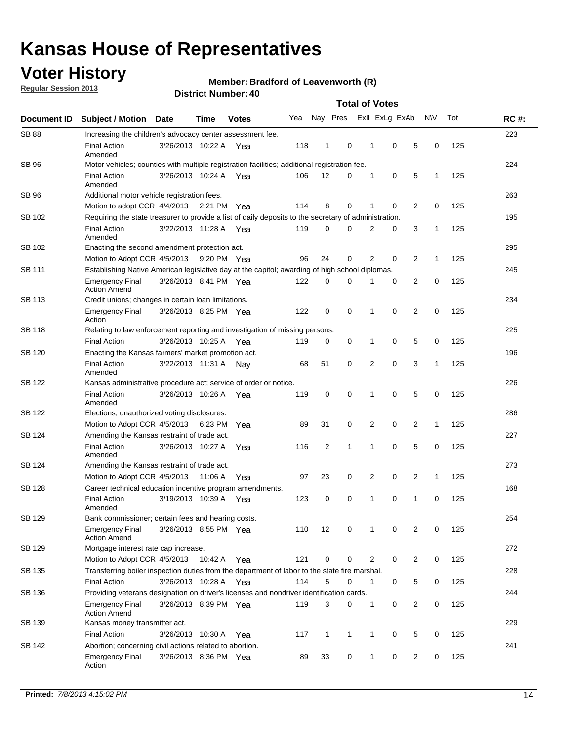## **Voter History**

**Regular Session 2013**

### **Member: Bradford of Leavenworth (R)**

| Document ID   |                                                                                                       |                                                    |         |              |     |                         |              |                |   |                |              |     |             |  |  |  |  |  |  |  |  |
|---------------|-------------------------------------------------------------------------------------------------------|----------------------------------------------------|---------|--------------|-----|-------------------------|--------------|----------------|---|----------------|--------------|-----|-------------|--|--|--|--|--|--|--|--|
|               | <b>Subject / Motion</b>                                                                               | Date                                               | Time    | <b>Votes</b> | Yea | Nay Pres                |              | Exll ExLg ExAb |   |                | <b>NV</b>    | Tot | <b>RC#:</b> |  |  |  |  |  |  |  |  |
| <b>SB 88</b>  | Increasing the children's advocacy center assessment fee.                                             |                                                    |         |              |     |                         |              |                |   |                |              |     | 223         |  |  |  |  |  |  |  |  |
|               | <b>Final Action</b><br>Amended                                                                        | 3/26/2013 10:22 A                                  |         | Yea          | 118 | 1                       | 0            | 1              | 0 | 5              | 0            | 125 |             |  |  |  |  |  |  |  |  |
| <b>SB 96</b>  | Motor vehicles; counties with multiple registration facilities; additional registration fee.          |                                                    |         |              |     |                         |              |                |   |                |              |     | 224         |  |  |  |  |  |  |  |  |
|               | <b>Final Action</b><br>Amended                                                                        | 3/26/2013 10:24 A                                  |         | Yea          | 106 | 12                      | 0            | 1              | 0 | 5              | 1            | 125 |             |  |  |  |  |  |  |  |  |
| SB 96         | Additional motor vehicle registration fees.                                                           |                                                    |         |              |     |                         |              |                |   |                |              |     | 263         |  |  |  |  |  |  |  |  |
|               | Motion to adopt CCR 4/4/2013 2:21 PM                                                                  |                                                    |         | Yea          | 114 | 8                       | 0            | 1              | 0 | $\overline{2}$ | $\mathbf 0$  | 125 |             |  |  |  |  |  |  |  |  |
| SB 102        | Requiring the state treasurer to provide a list of daily deposits to the secretary of administration. |                                                    |         |              |     |                         |              |                |   |                |              |     | 195         |  |  |  |  |  |  |  |  |
|               | <b>Final Action</b><br>Amended                                                                        | 3/22/2013 11:28 A Yea                              |         |              | 119 | 0                       | $\Omega$     | 2              | 0 | 3              | $\mathbf{1}$ | 125 |             |  |  |  |  |  |  |  |  |
| SB 102        | Enacting the second amendment protection act.                                                         |                                                    |         |              |     |                         |              |                |   |                |              |     |             |  |  |  |  |  |  |  |  |
|               | Motion to Adopt CCR 4/5/2013                                                                          |                                                    |         | 9:20 PM Yea  | 96  | 24                      | 0            | 2              | 0 | 2              | $\mathbf{1}$ | 125 |             |  |  |  |  |  |  |  |  |
| SB 111        | Establishing Native American legislative day at the capitol; awarding of high school diplomas.        |                                                    |         |              |     |                         |              |                |   |                |              |     |             |  |  |  |  |  |  |  |  |
|               | <b>Emergency Final</b><br><b>Action Amend</b>                                                         | 3/26/2013 8:41 PM Yea                              |         |              | 122 | 0                       | 0            | 1              | 0 | 2              | 0            | 125 |             |  |  |  |  |  |  |  |  |
| <b>SB 113</b> | Credit unions; changes in certain loan limitations.                                                   |                                                    |         |              |     |                         |              |                |   |                |              |     | 234         |  |  |  |  |  |  |  |  |
|               | <b>Emergency Final</b><br>Action                                                                      | 3/26/2013 8:25 PM Yea                              |         |              | 122 | 0                       | 0            | 1              | 0 | 2              | 0            | 125 |             |  |  |  |  |  |  |  |  |
| <b>SB 118</b> | Relating to law enforcement reporting and investigation of missing persons.                           |                                                    |         |              |     |                         |              |                |   |                |              |     | 225         |  |  |  |  |  |  |  |  |
|               | <b>Final Action</b>                                                                                   | 3/26/2013 10:25 A                                  |         | Yea          | 119 | 0                       | 0            | 1              | 0 | 5              | 0            | 125 |             |  |  |  |  |  |  |  |  |
| SB 120        | Enacting the Kansas farmers' market promotion act.                                                    |                                                    |         |              |     |                         |              |                |   |                |              |     | 196         |  |  |  |  |  |  |  |  |
|               | <b>Final Action</b><br>Amended                                                                        | 3/22/2013 11:31 A Nay                              |         |              | 68  | 51                      | 0            | 2              | 0 | 3              | 1            | 125 |             |  |  |  |  |  |  |  |  |
| <b>SB 122</b> | Kansas administrative procedure act; service of order or notice.                                      |                                                    |         |              |     |                         |              |                |   |                |              |     | 226         |  |  |  |  |  |  |  |  |
|               | <b>Final Action</b><br>Amended                                                                        | 3/26/2013 10:26 A                                  |         | Yea          | 119 | 0                       | 0            | 1              | 0 | 5              | 0            | 125 |             |  |  |  |  |  |  |  |  |
| SB 122        | Elections; unauthorized voting disclosures.                                                           |                                                    |         |              |     |                         |              |                |   |                |              |     |             |  |  |  |  |  |  |  |  |
|               | 0<br>2<br>0<br>2<br>Motion to Adopt CCR 4/5/2013<br>6:23 PM<br>89<br>31<br>$\mathbf{1}$<br>125<br>Yea |                                                    |         |              |     |                         |              |                |   |                |              |     |             |  |  |  |  |  |  |  |  |
| SB 124        | Amending the Kansas restraint of trade act.                                                           |                                                    |         |              |     |                         |              |                |   |                |              |     | 227         |  |  |  |  |  |  |  |  |
|               | <b>Final Action</b><br>Amended                                                                        | 3/26/2013 10:27 A                                  |         | Yea          | 116 | $\overline{\mathbf{c}}$ | 1            | 1              | 0 | 5              | 0            | 125 |             |  |  |  |  |  |  |  |  |
| SB 124        |                                                                                                       | 273<br>Amending the Kansas restraint of trade act. |         |              |     |                         |              |                |   |                |              |     |             |  |  |  |  |  |  |  |  |
|               | Motion to Adopt CCR 4/5/2013                                                                          |                                                    | 11:06 A | Yea          | 97  | 23                      | 0            | 2              | 0 | 2              | $\mathbf{1}$ | 125 |             |  |  |  |  |  |  |  |  |
| <b>SB 128</b> | Career technical education incentive program amendments.                                              |                                                    |         |              |     |                         |              |                |   |                |              |     | 168         |  |  |  |  |  |  |  |  |
|               | <b>Final Action</b><br>Amended                                                                        | 3/19/2013 10:39 A                                  |         | Yea          | 123 | 0                       | 0            | 1              | 0 | 1              | 0            | 125 |             |  |  |  |  |  |  |  |  |
| <b>SB 129</b> | Bank commissioner: certain fees and hearing costs.                                                    |                                                    |         |              |     |                         |              |                |   |                |              |     | 254         |  |  |  |  |  |  |  |  |
|               | <b>Emergency Final</b><br><b>Action Amend</b>                                                         | 3/26/2013 8:55 PM Yea                              |         |              | 110 | 12                      | 0            |                | 0 | 2              | 0            | 125 |             |  |  |  |  |  |  |  |  |
| <b>SB 129</b> | Mortgage interest rate cap increase.                                                                  |                                                    |         |              |     |                         |              |                |   |                |              |     | 272         |  |  |  |  |  |  |  |  |
|               | Motion to Adopt CCR 4/5/2013 10:42 A                                                                  |                                                    |         | Yea          | 121 | 0                       | 0            | 2              | 0 | 2              | 0            | 125 |             |  |  |  |  |  |  |  |  |
| SB 135        | Transferring boiler inspection duties from the department of labor to the state fire marshal.         |                                                    |         |              |     |                         |              |                |   |                |              |     | 228         |  |  |  |  |  |  |  |  |
|               | <b>Final Action</b>                                                                                   | 3/26/2013 10:28 A Yea                              |         |              | 114 | 5                       | 0            | $\mathbf 1$    | 0 | 5              | 0            | 125 |             |  |  |  |  |  |  |  |  |
| SB 136        | Providing veterans designation on driver's licenses and nondriver identification cards.               |                                                    |         |              |     |                         |              |                |   |                |              |     | 244         |  |  |  |  |  |  |  |  |
|               | <b>Emergency Final</b><br><b>Action Amend</b>                                                         | 3/26/2013 8:39 PM Yea                              |         |              | 119 | 3                       | 0            | $\mathbf{1}$   | 0 | $\overline{2}$ | 0            | 125 |             |  |  |  |  |  |  |  |  |
| SB 139        | Kansas money transmitter act.                                                                         |                                                    |         |              |     |                         |              |                |   |                |              |     | 229         |  |  |  |  |  |  |  |  |
|               | <b>Final Action</b>                                                                                   | 3/26/2013 10:30 A                                  |         | Yea          | 117 | $\mathbf{1}$            | $\mathbf{1}$ | $\mathbf{1}$   | 0 | 5              | 0            | 125 |             |  |  |  |  |  |  |  |  |
| SB 142        | Abortion; concerning civil actions related to abortion.                                               |                                                    |         |              |     |                         |              |                |   |                |              |     | 241         |  |  |  |  |  |  |  |  |
|               | <b>Emergency Final</b><br>Action                                                                      | 3/26/2013 8:36 PM Yea                              |         |              | 89  | 33                      | 0            | $\mathbf{1}$   | 0 | 2              | 0            | 125 |             |  |  |  |  |  |  |  |  |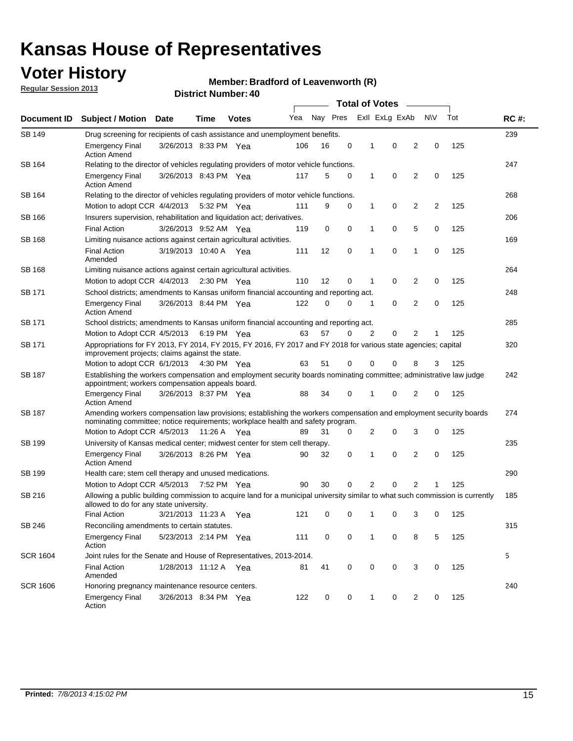## **Voter History**

**Member: Bradford of Leavenworth (R)** 

**Regular Session 2013**

|                 |                                                                                                                                                                                                       |                                                                                                                                                                         |                       |              |     |          | <b>Total of Votes</b> |   |                |                         |                         |     |             |
|-----------------|-------------------------------------------------------------------------------------------------------------------------------------------------------------------------------------------------------|-------------------------------------------------------------------------------------------------------------------------------------------------------------------------|-----------------------|--------------|-----|----------|-----------------------|---|----------------|-------------------------|-------------------------|-----|-------------|
| Document ID     | <b>Subject / Motion</b>                                                                                                                                                                               | <b>Date</b>                                                                                                                                                             | Time                  | <b>Votes</b> | Yea | Nay Pres |                       |   | Exll ExLg ExAb |                         | <b>NV</b>               | Tot | <b>RC#:</b> |
| SB 149          | 239<br>Drug screening for recipients of cash assistance and unemployment benefits.                                                                                                                    |                                                                                                                                                                         |                       |              |     |          |                       |   |                |                         |                         |     |             |
|                 | <b>Emergency Final</b><br><b>Action Amend</b>                                                                                                                                                         | 3/26/2013 8:33 PM Yea                                                                                                                                                   |                       |              | 106 | 16       | 0                     | 1 | 0              | 2                       | 0                       | 125 |             |
| SB 164          | Relating to the director of vehicles regulating providers of motor vehicle functions.                                                                                                                 |                                                                                                                                                                         |                       |              |     |          |                       |   |                |                         |                         |     | 247         |
|                 | <b>Emergency Final</b><br><b>Action Amend</b>                                                                                                                                                         | 3/26/2013 8:43 PM Yea                                                                                                                                                   |                       |              | 117 | 5        | 0                     | 1 | 0              | 2                       | 0                       | 125 |             |
| SB 164          | Relating to the director of vehicles regulating providers of motor vehicle functions.                                                                                                                 |                                                                                                                                                                         |                       |              |     |          |                       |   |                |                         |                         |     | 268         |
|                 | Motion to adopt CCR 4/4/2013 5:32 PM Yea                                                                                                                                                              |                                                                                                                                                                         |                       |              | 111 | 9        | 0                     | 1 | 0              | $\overline{\mathbf{c}}$ | $\overline{\mathbf{c}}$ | 125 |             |
| SB 166          | Insurers supervision, rehabilitation and liquidation act; derivatives.                                                                                                                                |                                                                                                                                                                         |                       |              |     |          |                       |   |                |                         |                         |     | 206         |
|                 | <b>Final Action</b>                                                                                                                                                                                   | 3/26/2013 9:52 AM Yea                                                                                                                                                   |                       |              | 119 | 0        | $\mathbf 0$           | 1 | 0              | 5                       | 0                       | 125 |             |
| SB 168          | Limiting nuisance actions against certain agricultural activities.                                                                                                                                    |                                                                                                                                                                         |                       |              |     |          |                       |   |                |                         |                         |     | 169         |
|                 | Final Action<br>Amended                                                                                                                                                                               | 3/19/2013 10:40 A Yea                                                                                                                                                   |                       |              | 111 | 12       | 0                     | 1 | 0              | 1                       | 0                       | 125 |             |
| SB 168          | Limiting nuisance actions against certain agricultural activities.                                                                                                                                    |                                                                                                                                                                         |                       |              |     |          |                       |   |                |                         |                         |     | 264         |
|                 | Motion to adopt CCR 4/4/2013                                                                                                                                                                          |                                                                                                                                                                         | $2:30 \text{ PM}$ Yea |              | 110 | 12       | 0                     | 1 | 0              | 2                       | 0                       | 125 |             |
| SB 171          | School districts; amendments to Kansas uniform financial accounting and reporting act.                                                                                                                |                                                                                                                                                                         |                       |              |     |          |                       |   |                |                         |                         |     | 248         |
|                 | <b>Emergency Final</b><br><b>Action Amend</b>                                                                                                                                                         | 3/26/2013 8:44 PM Yea                                                                                                                                                   |                       |              | 122 | 0        | 0                     | 1 | 0              | $\overline{2}$          | 0                       | 125 |             |
| SB 171          | School districts; amendments to Kansas uniform financial accounting and reporting act.                                                                                                                |                                                                                                                                                                         |                       |              |     |          |                       |   |                |                         |                         |     | 285         |
|                 | Motion to Adopt CCR 4/5/2013 6:19 PM Yea                                                                                                                                                              |                                                                                                                                                                         |                       |              | 63  | 57       | 0                     | 2 | 0              | 2                       |                         | 125 |             |
| SB 171          | Appropriations for FY 2013, FY 2014, FY 2015, FY 2016, FY 2017 and FY 2018 for various state agencies; capital<br>improvement projects; claims against the state.                                     |                                                                                                                                                                         |                       |              |     |          |                       |   |                |                         |                         |     | 320         |
|                 | Motion to adopt CCR 6/1/2013 4:30 PM Yea                                                                                                                                                              |                                                                                                                                                                         |                       |              | 63  | 51       | 0                     | 0 | 0              | 8                       | 3                       | 125 |             |
| SB 187          |                                                                                                                                                                                                       | Establishing the workers compensation and employment security boards nominating committee; administrative law judge<br>appointment; workers compensation appeals board. |                       |              |     |          |                       |   |                |                         |                         |     | 242         |
|                 | <b>Emergency Final</b><br><b>Action Amend</b>                                                                                                                                                         | 3/26/2013 8:37 PM Yea                                                                                                                                                   |                       |              | 88  | 34       | 0                     | 1 | 0              | 2                       | 0                       | 125 |             |
| SB 187          | Amending workers compensation law provisions; establishing the workers compensation and employment security boards<br>nominating committee; notice requirements; workplace health and safety program. |                                                                                                                                                                         |                       |              |     |          |                       |   |                |                         |                         |     | 274         |
|                 | Motion to Adopt CCR 4/5/2013 11:26 A Yea                                                                                                                                                              |                                                                                                                                                                         |                       |              | 89  | 31       | 0                     | 2 | 0              | 3                       | 0                       | 125 |             |
| SB 199          | University of Kansas medical center; midwest center for stem cell therapy.                                                                                                                            |                                                                                                                                                                         |                       |              |     |          |                       |   |                |                         |                         |     | 235         |
|                 | <b>Emergency Final</b><br><b>Action Amend</b>                                                                                                                                                         | 3/26/2013 8:26 PM Yea                                                                                                                                                   |                       |              | 90  | 32       | 0                     | 1 | 0              | 2                       | 0                       | 125 |             |
| SB 199          | Health care; stem cell therapy and unused medications.                                                                                                                                                |                                                                                                                                                                         |                       |              |     |          |                       |   |                |                         |                         |     | 290         |
|                 | Motion to Adopt CCR 4/5/2013                                                                                                                                                                          |                                                                                                                                                                         | 7:52 PM Yea           |              | 90  | 30       | 0                     | 2 | 0              | $\overline{2}$          |                         | 125 |             |
| SB 216          | Allowing a public building commission to acquire land for a municipal university similar to what such commission is currently<br>allowed to do for any state university.                              |                                                                                                                                                                         |                       |              |     |          |                       |   |                |                         |                         |     | 185         |
|                 | <b>Final Action</b>                                                                                                                                                                                   | 3/21/2013 11:23 A                                                                                                                                                       |                       | Yea          | 121 | 0        | 0                     | 1 | 0              | 3                       | 0                       | 125 |             |
| SB 246          | Reconciling amendments to certain statutes.                                                                                                                                                           |                                                                                                                                                                         |                       |              |     |          |                       |   |                |                         |                         |     | 315         |
|                 | <b>Emergency Final</b><br>Action                                                                                                                                                                      | 5/23/2013 2:14 PM Yea                                                                                                                                                   |                       |              | 111 | 0        | 0                     | 1 | 0              | 8                       | 5                       | 125 |             |
| <b>SCR 1604</b> | Joint rules for the Senate and House of Representatives, 2013-2014.                                                                                                                                   |                                                                                                                                                                         |                       |              |     |          |                       |   |                |                         |                         |     | 5           |
|                 | <b>Final Action</b><br>Amended                                                                                                                                                                        | 1/28/2013 11:12 A Yea                                                                                                                                                   |                       |              | 81  | 41       | 0                     | 0 | 0              | 3                       | 0                       | 125 |             |
| <b>SCR 1606</b> | Honoring pregnancy maintenance resource centers.                                                                                                                                                      |                                                                                                                                                                         |                       |              |     |          |                       |   |                |                         |                         |     | 240         |
|                 | Emergency Final<br>Action                                                                                                                                                                             | 3/26/2013 8:34 PM Yea                                                                                                                                                   |                       |              | 122 | 0        | 0                     | 1 | 0              | 2                       | 0                       | 125 |             |